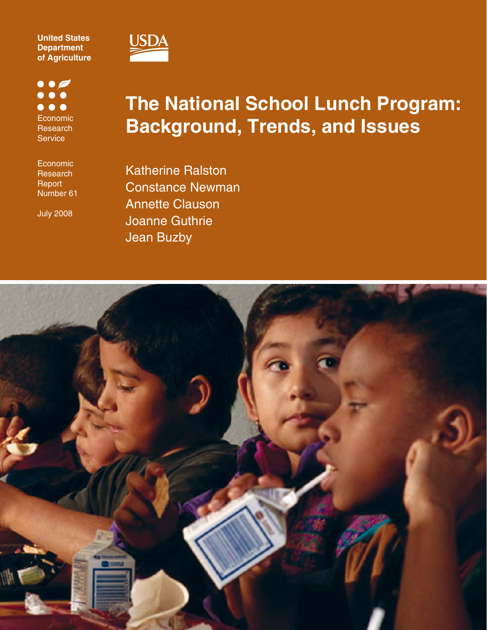

 $\bullet$   $\bullet$  $\bullet\bullet\bullet$  $\bullet$   $\bullet$   $\bullet$ Economic **Research Service** 

Economic **Research Report** Number 61

July 2008



# **The National School Lunch Program: Background, Trends, and Issues**

Katherine Ralston Constance Newman Annette Clauson Joanne Guthrie Jean Buzby

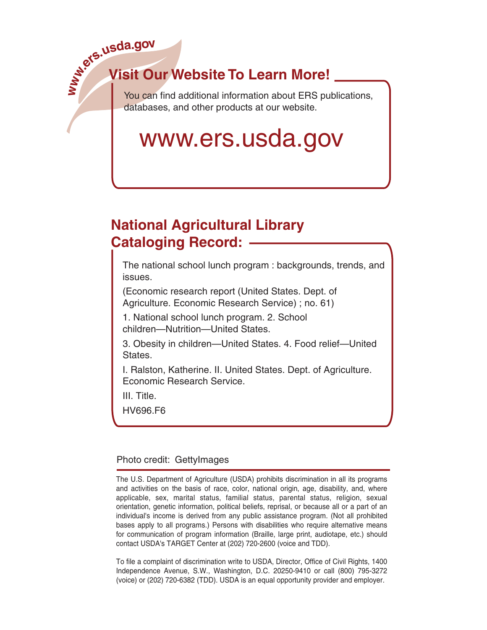

# **Visit Our Website To Learn More!**

You can find additional information about ERS publications, databases, and other products at our website.

# www.ers.usda.gov

# **National Agricultural Library Cataloging Record:**

The national school lunch program : backgrounds, trends, and issues.

(Economic research report (United States. Dept. of Agriculture. Economic Research Service) ; no. 61)

1. National school lunch program. 2. School children—Nutrition—United States.

3. Obesity in children—United States. 4. Food relief—United States.

I. Ralston, Katherine. II. United States. Dept. of Agriculture. Economic Research Service.

III. Title.

HV696.F6

Photo credit: GettyImages

The U.S. Department of Agriculture (USDA) prohibits discrimination in all its programs and activities on the basis of race, color, national origin, age, disability, and, where applicable, sex, marital status, familial status, parental status, religion, sexual orientation, genetic information, political beliefs, reprisal, or because all or a part of an individual's income is derived from any public assistance program. (Not all prohibited bases apply to all programs.) Persons with disabilities who require alternative means for communication of program information (Braille, large print, audiotape, etc.) should contact USDA's TARGET Center at (202) 720-2600 (voice and TDD).

To file a complaint of discrimination write to USDA, Director, Office of Civil Rights, 1400 Independence Avenue, S.W., Washington, D.C. 20250-9410 or call (800) 795-3272 (voice) or (202) 720-6382 (TDD). USDA is an equal opportunity provider and employer.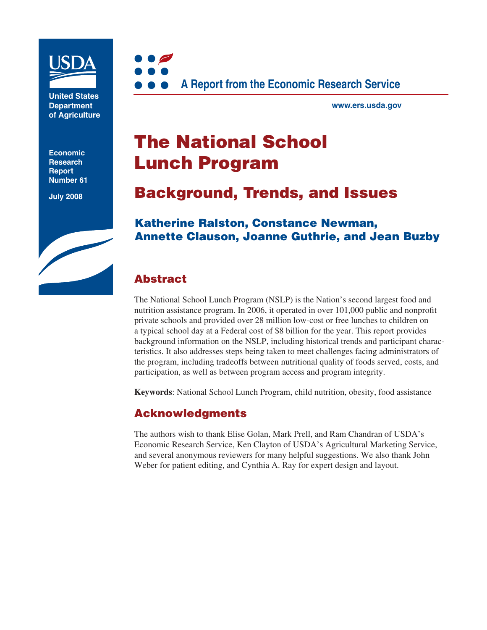

**United States Department of Agriculture**

**Economic Research Report Number 61**

**July 2008**



**www.ers.usda.gov**

# **The National School Lunch Program**

## **Background, Trends, and Issues**

**Katherine Ralston, Constance Newman, Annette Clauson, Joanne Guthrie, and Jean Buzby**

## **Abstract**

The National School Lunch Program (NSLP) is the Nation's second largest food and nutrition assistance program. In 2006, it operated in over 101,000 public and nonprofit private schools and provided over 28 million low-cost or free lunches to children on a typical school day at a Federal cost of \$8 billion for the year. This report provides background information on the NSLP, including historical trends and participant characteristics. It also addresses steps being taken to meet challenges facing administrators of the program, including tradeoffs between nutritional quality of foods served, costs, and participation, as well as between program access and program integrity.

**Keywords**: National School Lunch Program, child nutrition, obesity, food assistance

#### **Acknowledgments**

The authors wish to thank Elise Golan, Mark Prell, and Ram Chandran of USDA's Economic Research Service, Ken Clayton of USDA's Agricultural Marketing Service, and several anonymous reviewers for many helpful suggestions. We also thank John Weber for patient editing, and Cynthia A. Ray for expert design and layout.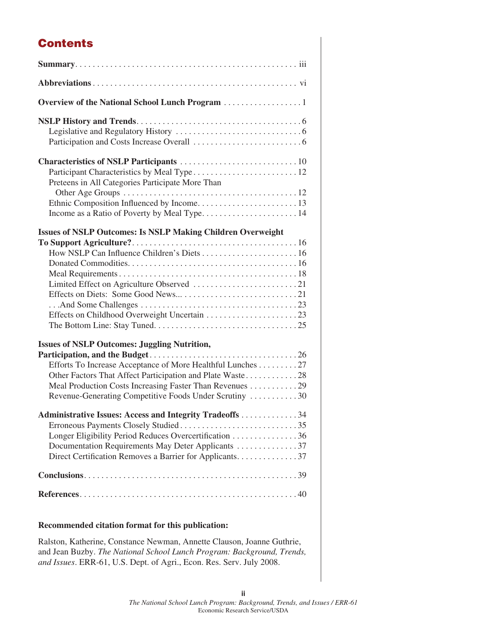## **Contents**

| Overview of the National School Lunch Program 1                                                                                                                                                                                                                                                                                                                                                                                                                                                                                                                                        |
|----------------------------------------------------------------------------------------------------------------------------------------------------------------------------------------------------------------------------------------------------------------------------------------------------------------------------------------------------------------------------------------------------------------------------------------------------------------------------------------------------------------------------------------------------------------------------------------|
|                                                                                                                                                                                                                                                                                                                                                                                                                                                                                                                                                                                        |
| Preteens in All Categories Participate More Than                                                                                                                                                                                                                                                                                                                                                                                                                                                                                                                                       |
| <b>Issues of NSLP Outcomes: Is NSLP Making Children Overweight</b>                                                                                                                                                                                                                                                                                                                                                                                                                                                                                                                     |
| <b>Issues of NSLP Outcomes: Juggling Nutrition,</b><br>Efforts To Increase Acceptance of More Healthful Lunches 27<br>Other Factors That Affect Participation and Plate Waste28<br>Meal Production Costs Increasing Faster Than Revenues 29<br>Revenue-Generating Competitive Foods Under Scrutiny 30<br>Administrative Issues: Access and Integrity Tradeoffs 34<br>Erroneous Payments Closely Studied35<br>Longer Eligibility Period Reduces Overcertification 36<br>Documentation Requirements May Deter Applicants 37<br>Direct Certification Removes a Barrier for Applicants. 37 |
|                                                                                                                                                                                                                                                                                                                                                                                                                                                                                                                                                                                        |
|                                                                                                                                                                                                                                                                                                                                                                                                                                                                                                                                                                                        |

#### **Recommended citation format for this publication:**

Ralston, Katherine, Constance Newman, Annette Clauson, Joanne Guthrie, and Jean Buzby. *The National School Lunch Program: Background, Trends, and Issues*. ERR-61, U.S. Dept. of Agri., Econ. Res. Serv. July 2008.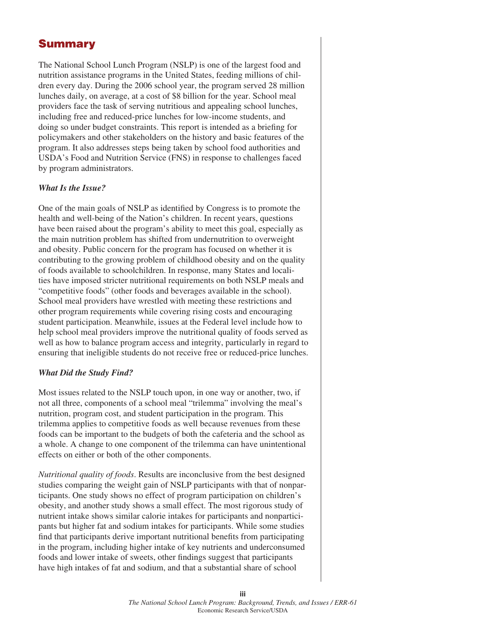#### **Summary**

The National School Lunch Program (NSLP) is one of the largest food and nutrition assistance programs in the United States, feeding millions of children every day. During the 2006 school year, the program served 28 million lunches daily, on average, at a cost of \$8 billion for the year. School meal providers face the task of serving nutritious and appealing school lunches, including free and reduced-price lunches for low-income students, and doing so under budget constraints. This report is intended as a briefing for policymakers and other stakeholders on the history and basic features of the program. It also addresses steps being taken by school food authorities and USDA's Food and Nutrition Service (FNS) in response to challenges faced by program administrators.

#### *What Is the Issue?*

One of the main goals of NSLP as identified by Congress is to promote the health and well-being of the Nation's children. In recent years, questions have been raised about the program's ability to meet this goal, especially as the main nutrition problem has shifted from undernutrition to overweight and obesity. Public concern for the program has focused on whether it is contributing to the growing problem of childhood obesity and on the quality of foods available to schoolchildren. In response, many States and localities have imposed stricter nutritional requirements on both NSLP meals and "competitive foods" (other foods and beverages available in the school). School meal providers have wrestled with meeting these restrictions and other program requirements while covering rising costs and encouraging student participation. Meanwhile, issues at the Federal level include how to help school meal providers improve the nutritional quality of foods served as well as how to balance program access and integrity, particularly in regard to ensuring that ineligible students do not receive free or reduced-price lunches.

#### *What Did the Study Find?*

Most issues related to the NSLP touch upon, in one way or another, two, if not all three, components of a school meal "trilemma" involving the meal's nutrition, program cost, and student participation in the program. This trilemma applies to competitive foods as well because revenues from these foods can be important to the budgets of both the cafeteria and the school as a whole. A change to one component of the trilemma can have unintentional effects on either or both of the other components.

*Nutritional quality of foods*. Results are inconclusive from the best designed studies comparing the weight gain of NSLP participants with that of nonparticipants. One study shows no effect of program participation on children's obesity, and another study shows a small effect. The most rigorous study of nutrient intake shows similar calorie intakes for participants and nonparticipants but higher fat and sodium intakes for participants. While some studies find that participants derive important nutritional benefits from participating in the program, including higher intake of key nutrients and underconsumed foods and lower intake of sweets, other findings suggest that participants have high intakes of fat and sodium, and that a substantial share of school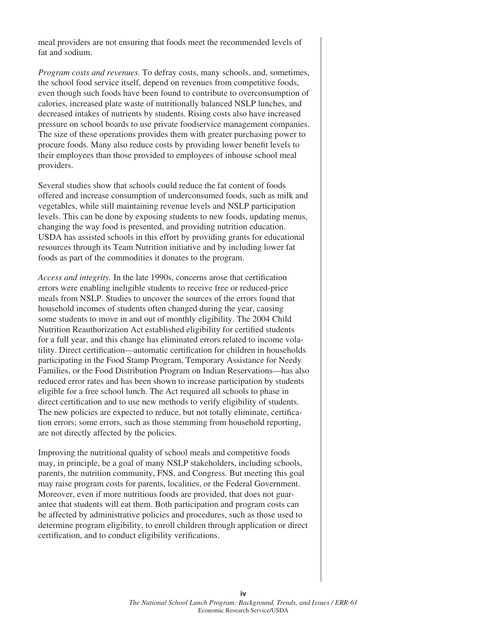meal providers are not ensuring that foods meet the recommended levels of fat and sodium.

*Program costs and revenues.* To defray costs, many schools, and, sometimes, the school food service itself, depend on revenues from competitive foods, even though such foods have been found to contribute to overconsumption of calories, increased plate waste of nutritionally balanced NSLP lunches, and decreased intakes of nutrients by students. Rising costs also have increased pressure on school boards to use private foodservice management companies. The size of these operations provides them with greater purchasing power to procure foods. Many also reduce costs by providing lower benefit levels to their employees than those provided to employees of inhouse school meal providers.

Several studies show that schools could reduce the fat content of foods offered and increase consumption of underconsumed foods, such as milk and vegetables, while still maintaining revenue levels and NSLP participation levels. This can be done by exposing students to new foods, updating menus, changing the way food is presented, and providing nutrition education. USDA has assisted schools in this effort by providing grants for educational resources through its Team Nutrition initiative and by including lower fat foods as part of the commodities it donates to the program.

*Access and integrity.* In the late 1990s, concerns arose that certification errors were enabling ineligible students to receive free or reduced-price meals from NSLP. Studies to uncover the sources of the errors found that household incomes of students often changed during the year, causing some students to move in and out of monthly eligibility. The 2004 Child Nutrition Reauthorization Act established eligibility for certified students for a full year, and this change has eliminated errors related to income volatility. Direct certification—automatic certification for children in households participating in the Food Stamp Program, Temporary Assistance for Needy Families, or the Food Distribution Program on Indian Reservations—has also reduced error rates and has been shown to increase participation by students eligible for a free school lunch. The Act required all schools to phase in direct certification and to use new methods to verify eligibility of students. The new policies are expected to reduce, but not totally eliminate, certification errors; some errors, such as those stemming from household reporting, are not directly affected by the policies.

Improving the nutritional quality of school meals and competitive foods may, in principle, be a goal of many NSLP stakeholders, including schools, parents, the nutrition community, FNS, and Congress. But meeting this goal may raise program costs for parents, localities, or the Federal Government. Moreover, even if more nutritious foods are provided, that does not guarantee that students will eat them. Both participation and program costs can be affected by administrative policies and procedures, such as those used to determine program eligibility, to enroll children through application or direct certification, and to conduct eligibility verifications.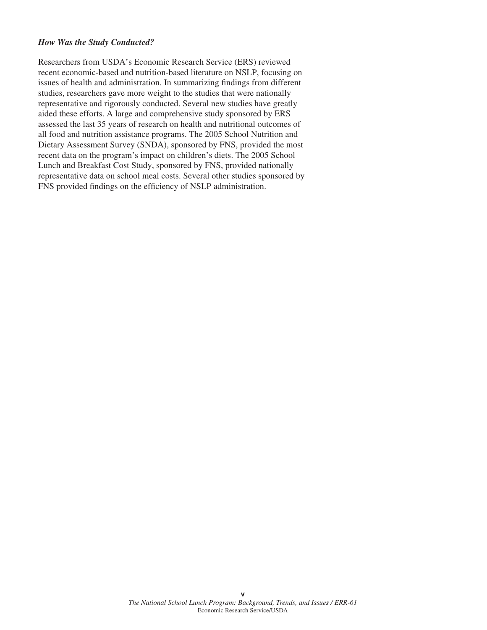#### *How Was the Study Conducted?*

Researchers from USDA's Economic Research Service (ERS) reviewed recent economic-based and nutrition-based literature on NSLP, focusing on issues of health and administration. In summarizing findings from different studies, researchers gave more weight to the studies that were nationally representative and rigorously conducted. Several new studies have greatly aided these efforts. A large and comprehensive study sponsored by ERS assessed the last 35 years of research on health and nutritional outcomes of all food and nutrition assistance programs. The 2005 School Nutrition and Dietary Assessment Survey (SNDA), sponsored by FNS, provided the most recent data on the program's impact on children's diets. The 2005 School Lunch and Breakfast Cost Study, sponsored by FNS, provided nationally representative data on school meal costs. Several other studies sponsored by FNS provided findings on the efficiency of NSLP administration.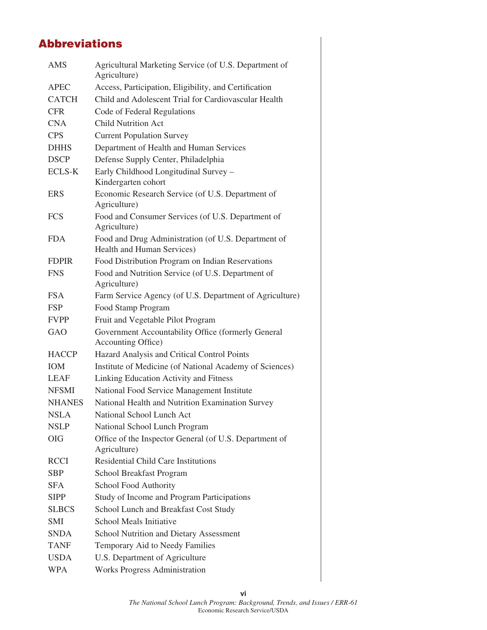## **Abbreviations**

| AMS           | Agricultural Marketing Service (of U.S. Department of<br>Agriculture)             |  |  |
|---------------|-----------------------------------------------------------------------------------|--|--|
| <b>APEC</b>   | Access, Participation, Eligibility, and Certification                             |  |  |
| <b>CATCH</b>  | Child and Adolescent Trial for Cardiovascular Health                              |  |  |
| <b>CFR</b>    | Code of Federal Regulations                                                       |  |  |
| <b>CNA</b>    | <b>Child Nutrition Act</b>                                                        |  |  |
| <b>CPS</b>    | <b>Current Population Survey</b>                                                  |  |  |
| <b>DHHS</b>   | Department of Health and Human Services                                           |  |  |
| <b>DSCP</b>   | Defense Supply Center, Philadelphia                                               |  |  |
| <b>ECLS-K</b> | Early Childhood Longitudinal Survey -<br>Kindergarten cohort                      |  |  |
| <b>ERS</b>    | Economic Research Service (of U.S. Department of<br>Agriculture)                  |  |  |
| <b>FCS</b>    | Food and Consumer Services (of U.S. Department of<br>Agriculture)                 |  |  |
| <b>FDA</b>    | Food and Drug Administration (of U.S. Department of<br>Health and Human Services) |  |  |
| <b>FDPIR</b>  | Food Distribution Program on Indian Reservations                                  |  |  |
| <b>FNS</b>    | Food and Nutrition Service (of U.S. Department of<br>Agriculture)                 |  |  |
| <b>FSA</b>    | Farm Service Agency (of U.S. Department of Agriculture)                           |  |  |
| <b>FSP</b>    | Food Stamp Program                                                                |  |  |
| <b>FVPP</b>   | Fruit and Vegetable Pilot Program                                                 |  |  |
| GAO           | Government Accountability Office (formerly General                                |  |  |
|               | Accounting Office)                                                                |  |  |
| <b>HACCP</b>  | Hazard Analysis and Critical Control Points                                       |  |  |
| <b>IOM</b>    | Institute of Medicine (of National Academy of Sciences)                           |  |  |
| <b>LEAF</b>   | Linking Education Activity and Fitness                                            |  |  |
| <b>NFSMI</b>  | National Food Service Management Institute                                        |  |  |
| <b>NHANES</b> | National Health and Nutrition Examination Survey                                  |  |  |
| <b>NSLA</b>   | National School Lunch Act                                                         |  |  |
| <b>NSLP</b>   | National School Lunch Program                                                     |  |  |
| <b>OIG</b>    | Office of the Inspector General (of U.S. Department of<br>Agriculture)            |  |  |
| <b>RCCI</b>   | <b>Residential Child Care Institutions</b>                                        |  |  |
| <b>SBP</b>    | School Breakfast Program                                                          |  |  |
| <b>SFA</b>    | School Food Authority                                                             |  |  |
| <b>SIPP</b>   | Study of Income and Program Participations                                        |  |  |
| <b>SLBCS</b>  | School Lunch and Breakfast Cost Study                                             |  |  |
| <b>SMI</b>    | School Meals Initiative                                                           |  |  |
| <b>SNDA</b>   | <b>School Nutrition and Dietary Assessment</b>                                    |  |  |
| <b>TANF</b>   | Temporary Aid to Needy Families                                                   |  |  |
| <b>USDA</b>   | U.S. Department of Agriculture                                                    |  |  |
| <b>WPA</b>    | <b>Works Progress Administration</b>                                              |  |  |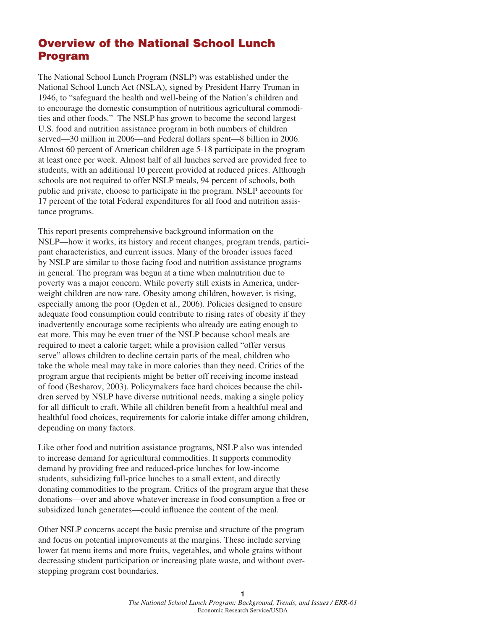## **Overview of the National School Lunch Program**

The National School Lunch Program (NSLP) was established under the National School Lunch Act (NSLA), signed by President Harry Truman in 1946, to "safeguard the health and well-being of the Nation's children and to encourage the domestic consumption of nutritious agricultural commodities and other foods." The NSLP has grown to become the second largest U.S. food and nutrition assistance program in both numbers of children served—30 million in 2006—and Federal dollars spent—8 billion in 2006. Almost 60 percent of American children age 5-18 participate in the program at least once per week. Almost half of all lunches served are provided free to students, with an additional 10 percent provided at reduced prices. Although schools are not required to offer NSLP meals, 94 percent of schools, both public and private, choose to participate in the program. NSLP accounts for 17 percent of the total Federal expenditures for all food and nutrition assistance programs.

This report presents comprehensive background information on the NSLP—how it works, its history and recent changes, program trends, participant characteristics, and current issues. Many of the broader issues faced by NSLP are similar to those facing food and nutrition assistance programs in general. The program was begun at a time when malnutrition due to poverty was a major concern. While poverty still exists in America, underweight children are now rare. Obesity among children, however, is rising, especially among the poor (Ogden et al., 2006). Policies designed to ensure adequate food consumption could contribute to rising rates of obesity if they inadvertently encourage some recipients who already are eating enough to eat more. This may be even truer of the NSLP because school meals are required to meet a calorie target; while a provision called "offer versus serve" allows children to decline certain parts of the meal, children who take the whole meal may take in more calories than they need. Critics of the program argue that recipients might be better off receiving income instead of food (Besharov, 2003). Policymakers face hard choices because the children served by NSLP have diverse nutritional needs, making a single policy for all difficult to craft. While all children benefit from a healthful meal and healthful food choices, requirements for calorie intake differ among children, depending on many factors.

Like other food and nutrition assistance programs, NSLP also was intended to increase demand for agricultural commodities. It supports commodity demand by providing free and reduced-price lunches for low-income students, subsidizing full-price lunches to a small extent, and directly donating commodities to the program. Critics of the program argue that these donations—over and above whatever increase in food consumption a free or subsidized lunch generates—could influence the content of the meal.

Other NSLP concerns accept the basic premise and structure of the program and focus on potential improvements at the margins. These include serving lower fat menu items and more fruits, vegetables, and whole grains without decreasing student participation or increasing plate waste, and without overstepping program cost boundaries.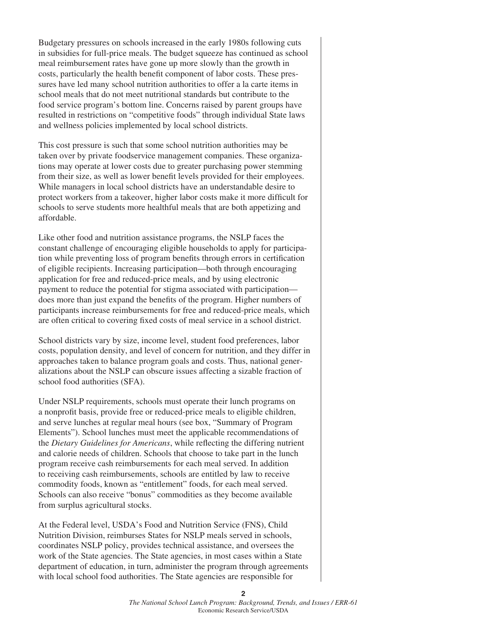Budgetary pressures on schools increased in the early 1980s following cuts in subsidies for full-price meals. The budget squeeze has continued as school meal reimbursement rates have gone up more slowly than the growth in costs, particularly the health benefit component of labor costs. These pressures have led many school nutrition authorities to offer a la carte items in school meals that do not meet nutritional standards but contribute to the food service program's bottom line. Concerns raised by parent groups have resulted in restrictions on "competitive foods" through individual State laws and wellness policies implemented by local school districts.

This cost pressure is such that some school nutrition authorities may be taken over by private foodservice management companies. These organizations may operate at lower costs due to greater purchasing power stemming from their size, as well as lower benefit levels provided for their employees. While managers in local school districts have an understandable desire to protect workers from a takeover, higher labor costs make it more difficult for schools to serve students more healthful meals that are both appetizing and affordable.

Like other food and nutrition assistance programs, the NSLP faces the constant challenge of encouraging eligible households to apply for participation while preventing loss of program benefits through errors in certification of eligible recipients. Increasing participation—both through encouraging application for free and reduced-price meals, and by using electronic payment to reduce the potential for stigma associated with participation does more than just expand the benefits of the program. Higher numbers of participants increase reimbursements for free and reduced-price meals, which are often critical to covering fixed costs of meal service in a school district.

School districts vary by size, income level, student food preferences, labor costs, population density, and level of concern for nutrition, and they differ in approaches taken to balance program goals and costs. Thus, national generalizations about the NSLP can obscure issues affecting a sizable fraction of school food authorities (SFA).

Under NSLP requirements, schools must operate their lunch programs on a nonprofit basis, provide free or reduced-price meals to eligible children, and serve lunches at regular meal hours (see box, "Summary of Program Elements"). School lunches must meet the applicable recommendations of the *Dietary Guidelines for Americans*, while reflecting the differing nutrient and calorie needs of children. Schools that choose to take part in the lunch program receive cash reimbursements for each meal served. In addition to receiving cash reimbursements, schools are entitled by law to receive commodity foods, known as "entitlement" foods, for each meal served. Schools can also receive "bonus" commodities as they become available from surplus agricultural stocks.

At the Federal level, USDA's Food and Nutrition Service (FNS), Child Nutrition Division, reimburses States for NSLP meals served in schools, coordinates NSLP policy, provides technical assistance, and oversees the work of the State agencies. The State agencies, in most cases within a State department of education, in turn, administer the program through agreements with local school food authorities. The State agencies are responsible for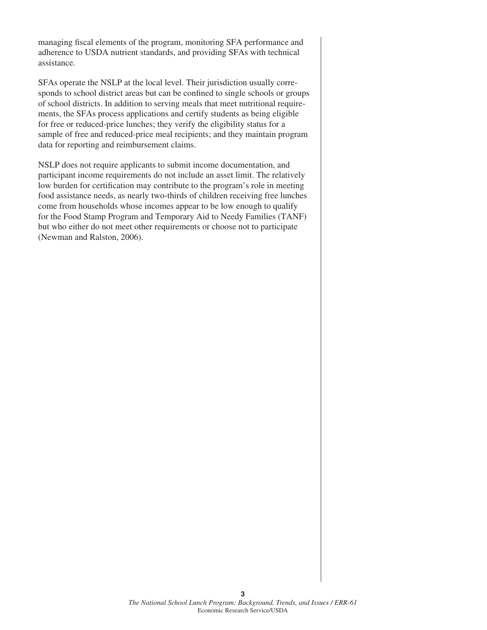managing fiscal elements of the program, monitoring SFA performance and adherence to USDA nutrient standards, and providing SFAs with technical assistance.

SFAs operate the NSLP at the local level. Their jurisdiction usually corresponds to school district areas but can be confined to single schools or groups of school districts. In addition to serving meals that meet nutritional requirements, the SFAs process applications and certify students as being eligible for free or reduced-price lunches; they verify the eligibility status for a sample of free and reduced-price meal recipients; and they maintain program data for reporting and reimbursement claims.

NSLP does not require applicants to submit income documentation, and participant income requirements do not include an asset limit. The relatively low burden for certification may contribute to the program's role in meeting food assistance needs, as nearly two-thirds of children receiving free lunches come from households whose incomes appear to be low enough to qualify for the Food Stamp Program and Temporary Aid to Needy Families (TANF) but who either do not meet other requirements or choose not to participate (Newman and Ralston, 2006).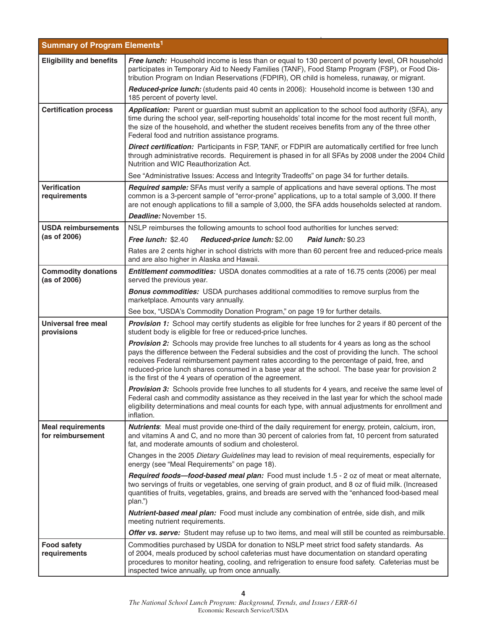| Summary of Program Elements <sup>1</sup>      |                                                                                                                                                                                                                                                                                                                                                                                                                                                                             |  |  |
|-----------------------------------------------|-----------------------------------------------------------------------------------------------------------------------------------------------------------------------------------------------------------------------------------------------------------------------------------------------------------------------------------------------------------------------------------------------------------------------------------------------------------------------------|--|--|
| <b>Eligibility and benefits</b>               | Free lunch: Household income is less than or equal to 130 percent of poverty level, OR household<br>participates in Temporary Aid to Needy Families (TANF), Food Stamp Program (FSP), or Food Dis-<br>tribution Program on Indian Reservations (FDPIR), OR child is homeless, runaway, or migrant.                                                                                                                                                                          |  |  |
|                                               | Reduced-price lunch: (students paid 40 cents in 2006): Household income is between 130 and<br>185 percent of poverty level.                                                                                                                                                                                                                                                                                                                                                 |  |  |
| <b>Certification process</b>                  | Application: Parent or guardian must submit an application to the school food authority (SFA), any<br>time during the school year, self-reporting households' total income for the most recent full month,<br>the size of the household, and whether the student receives benefits from any of the three other<br>Federal food and nutrition assistance programs.                                                                                                           |  |  |
|                                               | Direct certification: Participants in FSP, TANF, or FDPIR are automatically certified for free lunch<br>through administrative records. Requirement is phased in for all SFAs by 2008 under the 2004 Child<br>Nutrition and WIC Reauthorization Act.                                                                                                                                                                                                                        |  |  |
|                                               | See "Administrative Issues: Access and Integrity Tradeoffs" on page 34 for further details.                                                                                                                                                                                                                                                                                                                                                                                 |  |  |
| <b>Verification</b><br>requirements           | Required sample: SFAs must verify a sample of applications and have several options. The most<br>common is a 3-percent sample of "error-prone" applications, up to a total sample of 3,000. If there<br>are not enough applications to fill a sample of 3,000, the SFA adds households selected at random.                                                                                                                                                                  |  |  |
|                                               | Deadline: November 15.                                                                                                                                                                                                                                                                                                                                                                                                                                                      |  |  |
| <b>USDA reimbursements</b>                    | NSLP reimburses the following amounts to school food authorities for lunches served:                                                                                                                                                                                                                                                                                                                                                                                        |  |  |
| (as of 2006)                                  | Reduced-price lunch: \$2.00<br>Free lunch: \$2.40<br><b>Paid lunch: \$0.23</b>                                                                                                                                                                                                                                                                                                                                                                                              |  |  |
|                                               | Rates are 2 cents higher in school districts with more than 60 percent free and reduced-price meals<br>and are also higher in Alaska and Hawaii.                                                                                                                                                                                                                                                                                                                            |  |  |
| <b>Commodity donations</b><br>(as of 2006)    | Entitlement commodities: USDA donates commodities at a rate of 16.75 cents (2006) per meal<br>served the previous year.                                                                                                                                                                                                                                                                                                                                                     |  |  |
|                                               | <b>Bonus commodities:</b> USDA purchases additional commodities to remove surplus from the<br>marketplace. Amounts vary annually.                                                                                                                                                                                                                                                                                                                                           |  |  |
|                                               | See box, "USDA's Commodity Donation Program," on page 19 for further details.                                                                                                                                                                                                                                                                                                                                                                                               |  |  |
| <b>Universal free meal</b><br>provisions      | Provision 1: School may certify students as eligible for free lunches for 2 years if 80 percent of the<br>student body is eligible for free or reduced-price lunches.                                                                                                                                                                                                                                                                                                       |  |  |
|                                               | <b>Provision 2:</b> Schools may provide free lunches to all students for 4 years as long as the school<br>pays the difference between the Federal subsidies and the cost of providing the lunch. The school<br>receives Federal reimbursement payment rates according to the percentage of paid, free, and<br>reduced-price lunch shares consumed in a base year at the school. The base year for provision 2<br>is the first of the 4 years of operation of the agreement. |  |  |
|                                               | Provision 3: Schools provide free lunches to all students for 4 years, and receive the same level of<br>Federal cash and commodity assistance as they received in the last year for which the school made<br>eligibility determinations and meal counts for each type, with annual adjustments for enrollment and<br>inflation.                                                                                                                                             |  |  |
| <b>Meal requirements</b><br>for reimbursement | <b>Nutrients:</b> Meal must provide one-third of the daily requirement for energy, protein, calcium, iron,<br>and vitamins A and C, and no more than 30 percent of calories from fat, 10 percent from saturated<br>fat, and moderate amounts of sodium and cholesterol.                                                                                                                                                                                                     |  |  |
|                                               | Changes in the 2005 Dietary Guidelines may lead to revision of meal requirements, especially for<br>energy (see "Meal Requirements" on page 18).                                                                                                                                                                                                                                                                                                                            |  |  |
|                                               | Required foods-food-based meal plan: Food must include 1.5 - 2 oz of meat or meat alternate,<br>two servings of fruits or vegetables, one serving of grain product, and 8 oz of fluid milk. (Increased<br>quantities of fruits, vegetables, grains, and breads are served with the "enhanced food-based meal<br>plan.")                                                                                                                                                     |  |  |
|                                               | Nutrient-based meal plan: Food must include any combination of entrée, side dish, and milk<br>meeting nutrient requirements.                                                                                                                                                                                                                                                                                                                                                |  |  |
|                                               | <b>Offer vs. serve:</b> Student may refuse up to two items, and meal will still be counted as reimbursable.                                                                                                                                                                                                                                                                                                                                                                 |  |  |
| <b>Food safety</b><br>requirements            | Commodities purchased by USDA for donation to NSLP meet strict food safety standards. As<br>of 2004, meals produced by school cafeterias must have documentation on standard operating<br>procedures to monitor heating, cooling, and refrigeration to ensure food safety. Cafeterias must be<br>inspected twice annually, up from once annually.                                                                                                                           |  |  |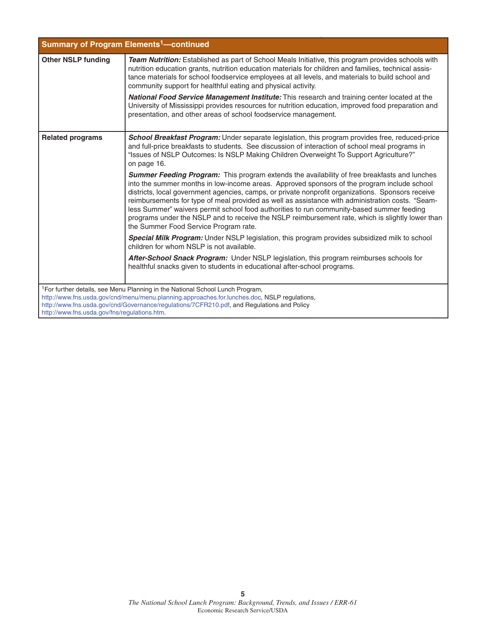| <b>Summary of Program Elements<sup>1</sup>-continued</b> |                                                                                                                                                                                                                                                                                                                                                                                                                                                                                                                                                                                                                                                       |  |
|----------------------------------------------------------|-------------------------------------------------------------------------------------------------------------------------------------------------------------------------------------------------------------------------------------------------------------------------------------------------------------------------------------------------------------------------------------------------------------------------------------------------------------------------------------------------------------------------------------------------------------------------------------------------------------------------------------------------------|--|
| <b>Other NSLP funding</b>                                | Team Nutrition: Established as part of School Meals Initiative, this program provides schools with<br>nutrition education grants, nutrition education materials for children and families, technical assis-<br>tance materials for school foodservice employees at all levels, and materials to build school and<br>community support for healthful eating and physical activity.                                                                                                                                                                                                                                                                     |  |
|                                                          | <b>National Food Service Management Institute:</b> This research and training center located at the<br>University of Mississippi provides resources for nutrition education, improved food preparation and<br>presentation, and other areas of school foodservice management.                                                                                                                                                                                                                                                                                                                                                                         |  |
| <b>Related programs</b>                                  | School Breakfast Program: Under separate legislation, this program provides free, reduced-price<br>and full-price breakfasts to students. See discussion of interaction of school meal programs in<br>"Issues of NSLP Outcomes: Is NSLP Making Children Overweight To Support Agriculture?"<br>on page 16.                                                                                                                                                                                                                                                                                                                                            |  |
|                                                          | <b>Summer Feeding Program:</b> This program extends the availability of free breakfasts and lunches<br>into the summer months in low-income areas. Approved sponsors of the program include school<br>districts, local government agencies, camps, or private nonprofit organizations. Sponsors receive<br>reimbursements for type of meal provided as well as assistance with administration costs. "Seam-<br>less Summer" waivers permit school food authorities to run community-based summer feeding<br>programs under the NSLP and to receive the NSLP reimbursement rate, which is slightly lower than<br>the Summer Food Service Program rate. |  |
|                                                          | Special Milk Program: Under NSLP legislation, this program provides subsidized milk to school<br>children for whom NSLP is not available.                                                                                                                                                                                                                                                                                                                                                                                                                                                                                                             |  |
|                                                          | <b>After-School Snack Program:</b> Under NSLP legislation, this program reimburses schools for<br>healthful snacks given to students in educational after-school programs.                                                                                                                                                                                                                                                                                                                                                                                                                                                                            |  |
| http://www.fns.usda.gov/fns/regulations.htm.             | <sup>1</sup> For further details, see Menu Planning in the National School Lunch Program,<br>http://www.fns.usda.gov/cnd/menu/menu.planning.approaches.for.lunches.doc, NSLP regulations,<br>http://www.fns.usda.gov/cnd/Governance/regulations/7CFR210.pdf, and Regulations and Policy                                                                                                                                                                                                                                                                                                                                                               |  |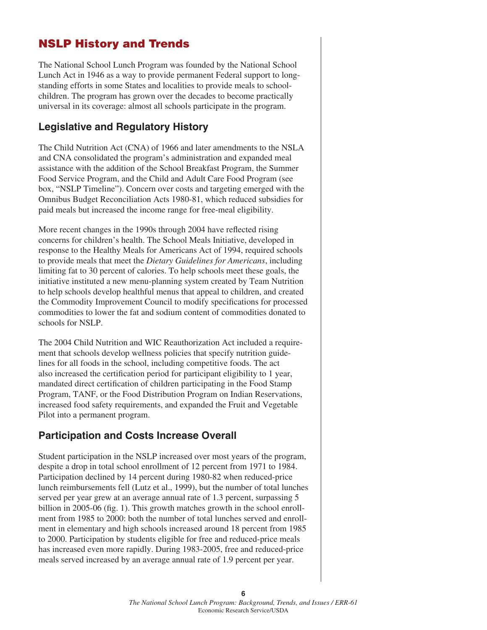## **NSLP History and Trends**

The National School Lunch Program was founded by the National School Lunch Act in 1946 as a way to provide permanent Federal support to longstanding efforts in some States and localities to provide meals to schoolchildren. The program has grown over the decades to become practically universal in its coverage: almost all schools participate in the program.

#### **Legislative and Regulatory History**

The Child Nutrition Act (CNA) of 1966 and later amendments to the NSLA and CNA consolidated the program's administration and expanded meal assistance with the addition of the School Breakfast Program, the Summer Food Service Program, and the Child and Adult Care Food Program (see box, "NSLP Timeline"). Concern over costs and targeting emerged with the Omnibus Budget Reconciliation Acts 1980-81, which reduced subsidies for paid meals but increased the income range for free-meal eligibility.

More recent changes in the 1990s through 2004 have reflected rising concerns for children's health. The School Meals Initiative, developed in response to the Healthy Meals for Americans Act of 1994, required schools to provide meals that meet the *Dietary Guidelines for Americans*, including limiting fat to 30 percent of calories. To help schools meet these goals, the initiative instituted a new menu-planning system created by Team Nutrition to help schools develop healthful menus that appeal to children, and created the Commodity Improvement Council to modify specifications for processed commodities to lower the fat and sodium content of commodities donated to schools for NSLP.

The 2004 Child Nutrition and WIC Reauthorization Act included a requirement that schools develop wellness policies that specify nutrition guidelines for all foods in the school, including competitive foods. The act also increased the certification period for participant eligibility to 1 year, mandated direct certification of children participating in the Food Stamp Program, TANF, or the Food Distribution Program on Indian Reservations, increased food safety requirements, and expanded the Fruit and Vegetable Pilot into a permanent program.

#### **Participation and Costs Increase Overall**

Student participation in the NSLP increased over most years of the program, despite a drop in total school enrollment of 12 percent from 1971 to 1984. Participation declined by 14 percent during 1980-82 when reduced-price lunch reimbursements fell (Lutz et al., 1999), but the number of total lunches served per year grew at an average annual rate of 1.3 percent, surpassing 5 billion in 2005-06 (fig. 1). This growth matches growth in the school enrollment from 1985 to 2000: both the number of total lunches served and enrollment in elementary and high schools increased around 18 percent from 1985 to 2000. Participation by students eligible for free and reduced-price meals has increased even more rapidly. During 1983-2005, free and reduced-price meals served increased by an average annual rate of 1.9 percent per year.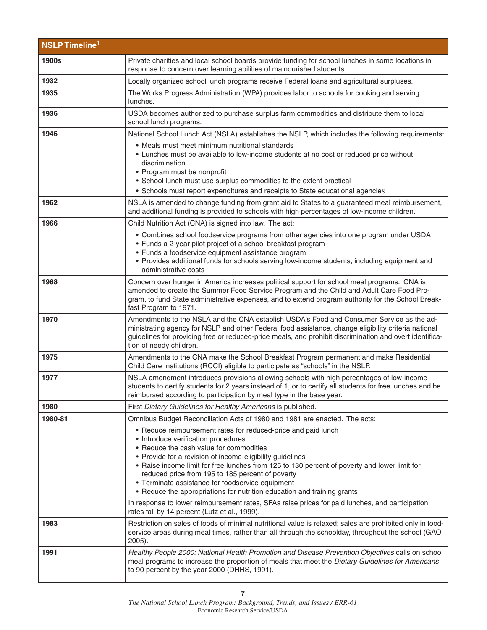| NSLP Timeline <sup>1</sup> |                                                                                                                                                                                                                                                                                                                                                                                                                                                                                                                                                                               |
|----------------------------|-------------------------------------------------------------------------------------------------------------------------------------------------------------------------------------------------------------------------------------------------------------------------------------------------------------------------------------------------------------------------------------------------------------------------------------------------------------------------------------------------------------------------------------------------------------------------------|
| 1900s                      | Private charities and local school boards provide funding for school lunches in some locations in<br>response to concern over learning abilities of malnourished students.                                                                                                                                                                                                                                                                                                                                                                                                    |
| 1932                       | Locally organized school lunch programs receive Federal loans and agricultural surpluses.                                                                                                                                                                                                                                                                                                                                                                                                                                                                                     |
| 1935                       | The Works Progress Administration (WPA) provides labor to schools for cooking and serving<br>lunches.                                                                                                                                                                                                                                                                                                                                                                                                                                                                         |
| 1936                       | USDA becomes authorized to purchase surplus farm commodities and distribute them to local<br>school lunch programs.                                                                                                                                                                                                                                                                                                                                                                                                                                                           |
| 1946                       | National School Lunch Act (NSLA) establishes the NSLP, which includes the following requirements:                                                                                                                                                                                                                                                                                                                                                                                                                                                                             |
|                            | • Meals must meet minimum nutritional standards<br>• Lunches must be available to low-income students at no cost or reduced price without<br>discrimination<br>• Program must be nonprofit<br>• School lunch must use surplus commodities to the extent practical<br>• Schools must report expenditures and receipts to State educational agencies                                                                                                                                                                                                                            |
| 1962                       | NSLA is amended to change funding from grant aid to States to a guaranteed meal reimbursement,<br>and additional funding is provided to schools with high percentages of low-income children.                                                                                                                                                                                                                                                                                                                                                                                 |
| 1966                       | Child Nutrition Act (CNA) is signed into law. The act:                                                                                                                                                                                                                                                                                                                                                                                                                                                                                                                        |
|                            | • Combines school foodservice programs from other agencies into one program under USDA<br>• Funds a 2-year pilot project of a school breakfast program<br>• Funds a foodservice equipment assistance program<br>• Provides additional funds for schools serving low-income students, including equipment and<br>administrative costs                                                                                                                                                                                                                                          |
| 1968                       | Concern over hunger in America increases political support for school meal programs. CNA is<br>amended to create the Summer Food Service Program and the Child and Adult Care Food Pro-<br>gram, to fund State administrative expenses, and to extend program authority for the School Break-<br>fast Program to 1971.                                                                                                                                                                                                                                                        |
| 1970                       | Amendments to the NSLA and the CNA establish USDA's Food and Consumer Service as the ad-<br>ministrating agency for NSLP and other Federal food assistance, change eligibility criteria national<br>guidelines for providing free or reduced-price meals, and prohibit discrimination and overt identifica-<br>tion of needy children.                                                                                                                                                                                                                                        |
| 1975                       | Amendments to the CNA make the School Breakfast Program permanent and make Residential<br>Child Care Institutions (RCCI) eligible to participate as "schools" in the NSLP.                                                                                                                                                                                                                                                                                                                                                                                                    |
| 1977                       | NSLA amendment introduces provisions allowing schools with high percentages of low-income<br>students to certify students for 2 years instead of 1, or to certify all students for free lunches and be<br>reimbursed according to participation by meal type in the base year.                                                                                                                                                                                                                                                                                                |
| 1980                       | First Dietary Guidelines for Healthy Americans is published.                                                                                                                                                                                                                                                                                                                                                                                                                                                                                                                  |
| 1980-81                    | Omnibus Budget Reconciliation Acts of 1980 and 1981 are enacted. The acts:<br>• Reduce reimbursement rates for reduced-price and paid lunch<br>• Introduce verification procedures<br>• Reduce the cash value for commodities<br>• Provide for a revision of income-eligibility guidelines<br>• Raise income limit for free lunches from 125 to 130 percent of poverty and lower limit for<br>reduced price from 195 to 185 percent of poverty<br>• Terminate assistance for foodservice equipment<br>• Reduce the appropriations for nutrition education and training grants |
|                            | In response to lower reimbursement rates, SFAs raise prices for paid lunches, and participation<br>rates fall by 14 percent (Lutz et al., 1999).                                                                                                                                                                                                                                                                                                                                                                                                                              |
| 1983                       | Restriction on sales of foods of minimal nutritional value is relaxed; sales are prohibited only in food-<br>service areas during meal times, rather than all through the schoolday, throughout the school (GAO,<br>2005).                                                                                                                                                                                                                                                                                                                                                    |
| 1991                       | Healthy People 2000: National Health Promotion and Disease Prevention Objectives calls on school<br>meal programs to increase the proportion of meals that meet the Dietary Guidelines for Americans<br>to 90 percent by the year 2000 (DHHS, 1991).                                                                                                                                                                                                                                                                                                                          |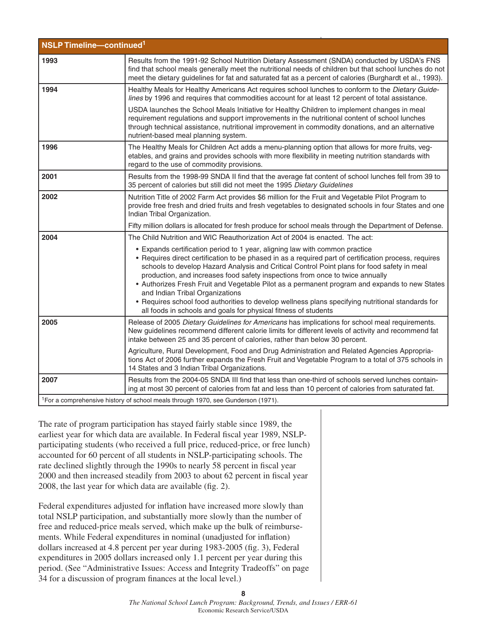| NSLP Timeline-continued <sup>1</sup> |                                                                                                                                                                                                                                                                                                                                                                                                                                                                                                                                                                                                                                                                                  |  |
|--------------------------------------|----------------------------------------------------------------------------------------------------------------------------------------------------------------------------------------------------------------------------------------------------------------------------------------------------------------------------------------------------------------------------------------------------------------------------------------------------------------------------------------------------------------------------------------------------------------------------------------------------------------------------------------------------------------------------------|--|
| 1993                                 | Results from the 1991-92 School Nutrition Dietary Assessment (SNDA) conducted by USDA's FNS<br>find that school meals generally meet the nutritional needs of children but that school lunches do not<br>meet the dietary guidelines for fat and saturated fat as a percent of calories (Burghardt et al., 1993).                                                                                                                                                                                                                                                                                                                                                                |  |
| 1994                                 | Healthy Meals for Healthy Americans Act requires school lunches to conform to the Dietary Guide-<br>lines by 1996 and requires that commodities account for at least 12 percent of total assistance.<br>USDA launches the School Meals Initiative for Healthy Children to implement changes in meal                                                                                                                                                                                                                                                                                                                                                                              |  |
|                                      | requirement regulations and support improvements in the nutritional content of school lunches<br>through technical assistance, nutritional improvement in commodity donations, and an alternative<br>nutrient-based meal planning system.                                                                                                                                                                                                                                                                                                                                                                                                                                        |  |
| 1996                                 | The Healthy Meals for Children Act adds a menu-planning option that allows for more fruits, veg-<br>etables, and grains and provides schools with more flexibility in meeting nutrition standards with<br>regard to the use of commodity provisions.                                                                                                                                                                                                                                                                                                                                                                                                                             |  |
| 2001                                 | Results from the 1998-99 SNDA II find that the average fat content of school lunches fell from 39 to<br>35 percent of calories but still did not meet the 1995 Dietary Guidelines                                                                                                                                                                                                                                                                                                                                                                                                                                                                                                |  |
| 2002                                 | Nutrition Title of 2002 Farm Act provides \$6 million for the Fruit and Vegetable Pilot Program to<br>provide free fresh and dried fruits and fresh vegetables to designated schools in four States and one<br>Indian Tribal Organization.                                                                                                                                                                                                                                                                                                                                                                                                                                       |  |
|                                      | Fifty million dollars is allocated for fresh produce for school meals through the Department of Defense.                                                                                                                                                                                                                                                                                                                                                                                                                                                                                                                                                                         |  |
| 2004                                 | The Child Nutrition and WIC Reauthorization Act of 2004 is enacted. The act:                                                                                                                                                                                                                                                                                                                                                                                                                                                                                                                                                                                                     |  |
|                                      | • Expands certification period to 1 year, aligning law with common practice<br>• Requires direct certification to be phased in as a required part of certification process, requires<br>schools to develop Hazard Analysis and Critical Control Point plans for food safety in meal<br>production, and increases food safety inspections from once to twice annually<br>• Authorizes Fresh Fruit and Vegetable Pilot as a permanent program and expands to new States<br>and Indian Tribal Organizations<br>• Requires school food authorities to develop wellness plans specifying nutritional standards for<br>all foods in schools and goals for physical fitness of students |  |
| 2005                                 | Release of 2005 Dietary Guidelines for Americans has implications for school meal requirements.<br>New guidelines recommend different calorie limits for different levels of activity and recommend fat<br>intake between 25 and 35 percent of calories, rather than below 30 percent.                                                                                                                                                                                                                                                                                                                                                                                           |  |
|                                      | Agriculture, Rural Development, Food and Drug Administration and Related Agencies Appropria-<br>tions Act of 2006 further expands the Fresh Fruit and Vegetable Program to a total of 375 schools in<br>14 States and 3 Indian Tribal Organizations.                                                                                                                                                                                                                                                                                                                                                                                                                             |  |
| 2007                                 | Results from the 2004-05 SNDA III find that less than one-third of schools served lunches contain-<br>ing at most 30 percent of calories from fat and less than 10 percent of calories from saturated fat.                                                                                                                                                                                                                                                                                                                                                                                                                                                                       |  |
|                                      | <sup>1</sup> For a comprehensive history of school meals through 1970, see Gunderson (1971).                                                                                                                                                                                                                                                                                                                                                                                                                                                                                                                                                                                     |  |

The rate of program participation has stayed fairly stable since 1989, the earliest year for which data are available. In Federal fiscal year 1989, NSLPparticipating students (who received a full price, reduced-price, or free lunch) accounted for 60 percent of all students in NSLP-participating schools. The rate declined slightly through the 1990s to nearly 58 percent in fiscal year 2000 and then increased steadily from 2003 to about 62 percent in fiscal year 2008, the last year for which data are available (fig.  $2$ ).

Federal expenditures adjusted for inflation have increased more slowly than total NSLP participation, and substantially more slowly than the number of free and reduced-price meals served, which make up the bulk of reimbursements. While Federal expenditures in nominal (unadjusted for inflation) dollars increased at 4.8 percent per year during  $1983-2005$  (fig. 3), Federal expenditures in 2005 dollars increased only 1.1 percent per year during this period. (See "Administrative Issues: Access and Integrity Tradeoffs" on page 34 for a discussion of program finances at the local level.)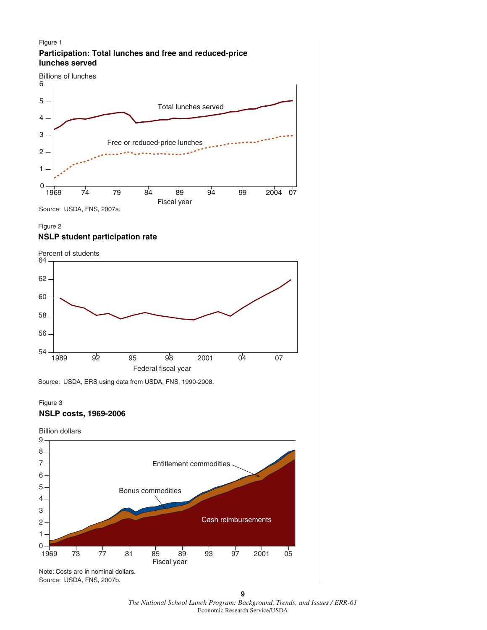#### Figure 1 **Participation: Total lunches and free and reduced-price lunches served**



#### Figure 2 **NSLP student participation rate**



Source: USDA, ERS using data from USDA, FNS, 1990-2008.







Source: USDA, FNS, 2007b.

**9** *The National School Lunch Program: Background, Trends, and Issues / ERR-61* Economic Research Service/USDA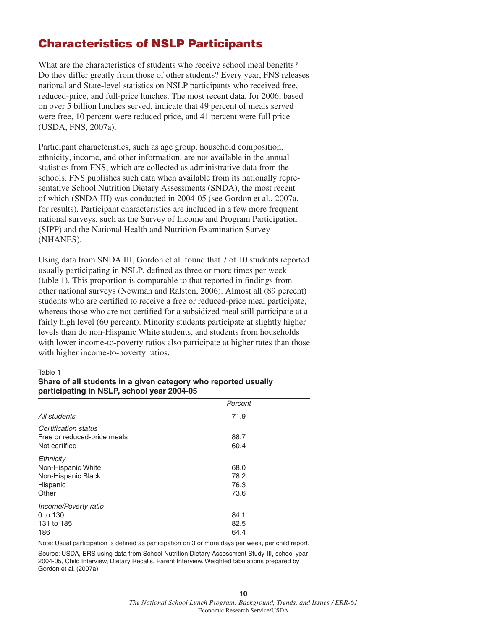## **Characteristics of NSLP Participants**

What are the characteristics of students who receive school meal benefits? Do they differ greatly from those of other students? Every year, FNS releases national and State-level statistics on NSLP participants who received free, reduced-price, and full-price lunches. The most recent data, for 2006, based on over 5 billion lunches served, indicate that 49 percent of meals served were free, 10 percent were reduced price, and 41 percent were full price (USDA, FNS, 2007a).

Participant characteristics, such as age group, household composition, ethnicity, income, and other information, are not available in the annual statistics from FNS, which are collected as administrative data from the schools. FNS publishes such data when available from its nationally representative School Nutrition Dietary Assessments (SNDA), the most recent of which (SNDA III) was conducted in 2004-05 (see Gordon et al., 2007a, for results). Participant characteristics are included in a few more frequent national surveys, such as the Survey of Income and Program Participation (SIPP) and the National Health and Nutrition Examination Survey (NHANES).

Using data from SNDA III, Gordon et al. found that 7 of 10 students reported usually participating in NSLP, defined as three or more times per week (table 1). This proportion is comparable to that reported in findings from other national surveys (Newman and Ralston, 2006). Almost all (89 percent) students who are certified to receive a free or reduced-price meal participate, whereas those who are not certified for a subsidized meal still participate at a fairly high level (60 percent). Minority students participate at slightly higher levels than do non-Hispanic White students, and students from households with lower income-to-poverty ratios also participate at higher rates than those with higher income-to-poverty ratios.

Table 1

#### **Share of all students in a given category who reported usually participating in NSLP, school year 2004-05**

|                                                                            | Percent                      |
|----------------------------------------------------------------------------|------------------------------|
| All students                                                               | 71.9                         |
| Certification status<br>Free or reduced-price meals<br>Not certified       | 88.7<br>60.4                 |
| Ethnicity<br>Non-Hispanic White<br>Non-Hispanic Black<br>Hispanic<br>Other | 68.0<br>78.2<br>76.3<br>73.6 |
| Income/Poverty ratio<br>0 to 130<br>131 to 185<br>$186+$                   | 84.1<br>82.5<br>64.4         |

Note: Usual participation is defined as participation on 3 or more days per week, per child report.

Source: USDA, ERS using data from School Nutrition Dietary Assessment Study-III, school year 2004-05, Child Interview, Dietary Recalls, Parent Interview. Weighted tabulations prepared by Gordon et al. (2007a).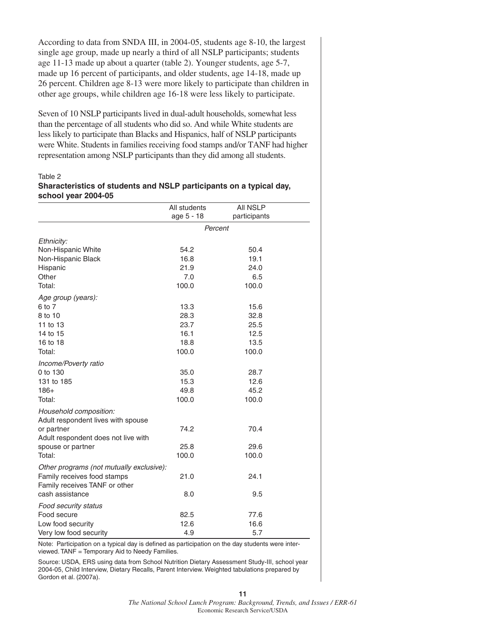According to data from SNDA III, in 2004-05, students age 8-10, the largest single age group, made up nearly a third of all NSLP participants; students age 11-13 made up about a quarter (table 2). Younger students, age 5-7, made up 16 percent of participants, and older students, age 14-18, made up 26 percent. Children age 8-13 were more likely to participate than children in other age groups, while children age 16-18 were less likely to participate.

Seven of 10 NSLP participants lived in dual-adult households, somewhat less than the percentage of all students who did so. And while White students are less likely to participate than Blacks and Hispanics, half of NSLP participants were White. Students in families receiving food stamps and/or TANF had higher representation among NSLP participants than they did among all students.

Table 2

| Sharacteristics of students and NSLP participants on a typical day, |  |
|---------------------------------------------------------------------|--|
| school year 2004-05                                                 |  |

|                                          | All students | All NSLP     |  |
|------------------------------------------|--------------|--------------|--|
|                                          | age 5 - 18   | participants |  |
|                                          | Percent      |              |  |
| Ethnicity:                               |              |              |  |
| Non-Hispanic White                       | 54.2         | 50.4         |  |
| Non-Hispanic Black                       | 16.8         | 19.1         |  |
| Hispanic                                 | 21.9         | 24.0         |  |
| Other                                    | 7.0          | 6.5          |  |
| Total:                                   | 100.0        | 100.0        |  |
| Age group (years):                       |              |              |  |
| 6 to 7                                   | 13.3         | 15.6         |  |
| 8 to 10                                  | 28.3         | 32.8         |  |
| 11 to 13                                 | 23.7         | 25.5         |  |
| 14 to 15                                 | 16.1         | 12.5         |  |
| 16 to 18                                 | 18.8         | 13.5         |  |
| Total:                                   | 100.0        | 100.0        |  |
| Income/Poverty ratio                     |              |              |  |
| 0 to 130                                 | 35.0         | 28.7         |  |
| 131 to 185                               | 15.3         | 12.6         |  |
| $186+$                                   | 49.8         | 45.2         |  |
| Total:                                   | 100.0        | 100.0        |  |
| Household composition:                   |              |              |  |
| Adult respondent lives with spouse       |              |              |  |
| or partner                               | 74.2         | 70.4         |  |
| Adult respondent does not live with      |              |              |  |
| spouse or partner                        | 25.8         | 29.6         |  |
| Total:                                   | 100.0        | 100.0        |  |
| Other programs (not mutually exclusive): |              |              |  |
| Family receives food stamps              | 21.0         | 24.1         |  |
| Family receives TANF or other            |              |              |  |
| cash assistance                          | 8.0          | 9.5          |  |
| Food security status                     |              |              |  |
| Food secure                              | 82.5         | 77.6         |  |
| Low food security                        | 12.6         | 16.6         |  |
| Very low food security                   | 4.9          | 5.7          |  |

Note: Participation on a typical day is defined as participation on the day students were interviewed. TANF = Temporary Aid to Needy Families.

Source: USDA, ERS using data from School Nutrition Dietary Assessment Study-III, school year 2004-05, Child Interview, Dietary Recalls, Parent Interview. Weighted tabulations prepared by Gordon et al. (2007a).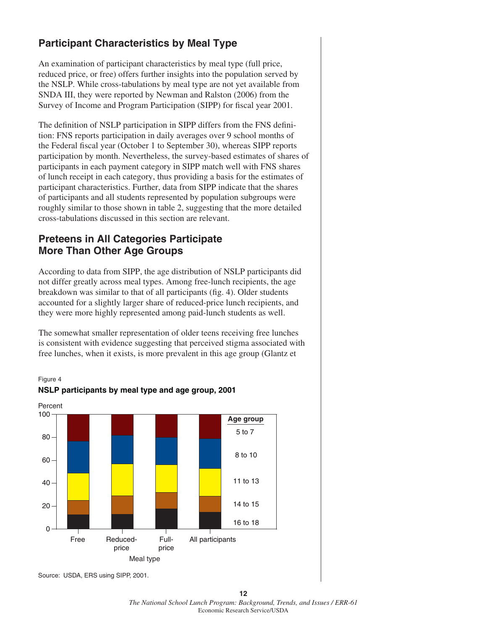#### **Participant Characteristics by Meal Type**

An examination of participant characteristics by meal type (full price, reduced price, or free) offers further insights into the population served by the NSLP. While cross-tabulations by meal type are not yet available from SNDA III, they were reported by Newman and Ralston (2006) from the Survey of Income and Program Participation (SIPP) for fiscal year 2001.

The definition of NSLP participation in SIPP differs from the FNS definition: FNS reports participation in daily averages over 9 school months of the Federal fiscal year (October 1 to September 30), whereas SIPP reports participation by month. Nevertheless, the survey-based estimates of shares of participants in each payment category in SIPP match well with FNS shares of lunch receipt in each category, thus providing a basis for the estimates of participant characteristics. Further, data from SIPP indicate that the shares of participants and all students represented by population subgroups were roughly similar to those shown in table 2, suggesting that the more detailed cross-tabulations discussed in this section are relevant.

#### **Preteens in All Categories Participate More Than Other Age Groups**

According to data from SIPP, the age distribution of NSLP participants did not differ greatly across meal types. Among free-lunch recipients, the age breakdown was similar to that of all participants (fig. 4). Older students accounted for a slightly larger share of reduced-price lunch recipients, and they were more highly represented among paid-lunch students as well.

The somewhat smaller representation of older teens receiving free lunches is consistent with evidence suggesting that perceived stigma associated with free lunches, when it exists, is more prevalent in this age group (Glantz et



**NSLP participants by meal type and age group, 2001**

Source: USDA, ERS using SIPP, 2001.

Figure 4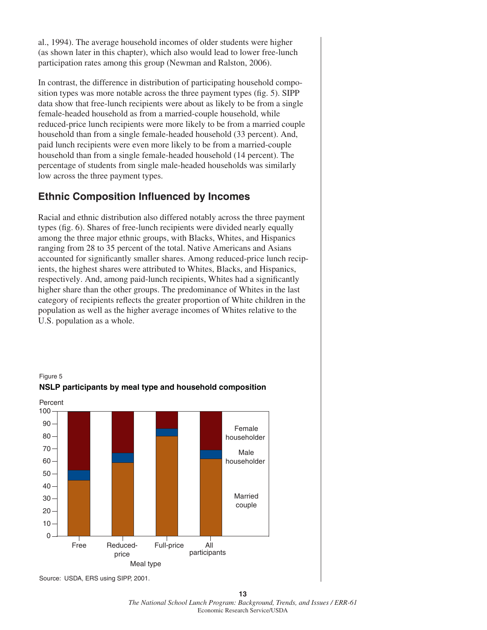al., 1994). The average household incomes of older students were higher (as shown later in this chapter), which also would lead to lower free-lunch participation rates among this group (Newman and Ralston, 2006).

In contrast, the difference in distribution of participating household composition types was more notable across the three payment types (fig. 5). SIPP data show that free-lunch recipients were about as likely to be from a single female-headed household as from a married-couple household, while reduced-price lunch recipients were more likely to be from a married couple household than from a single female-headed household (33 percent). And, paid lunch recipients were even more likely to be from a married-couple household than from a single female-headed household (14 percent). The percentage of students from single male-headed households was similarly low across the three payment types.

#### **Ethnic Composition Influenced by Incomes**

Racial and ethnic distribution also differed notably across the three payment types (fig. 6). Shares of free-lunch recipients were divided nearly equally among the three major ethnic groups, with Blacks, Whites, and Hispanics ranging from 28 to 35 percent of the total. Native Americans and Asians accounted for significantly smaller shares. Among reduced-price lunch recipients, the highest shares were attributed to Whites, Blacks, and Hispanics, respectively. And, among paid-lunch recipients, Whites had a significantly higher share than the other groups. The predominance of Whites in the last category of recipients reflects the greater proportion of White children in the population as well as the higher average incomes of Whites relative to the U.S. population as a whole.





Source: USDA, ERS using SIPP, 2001.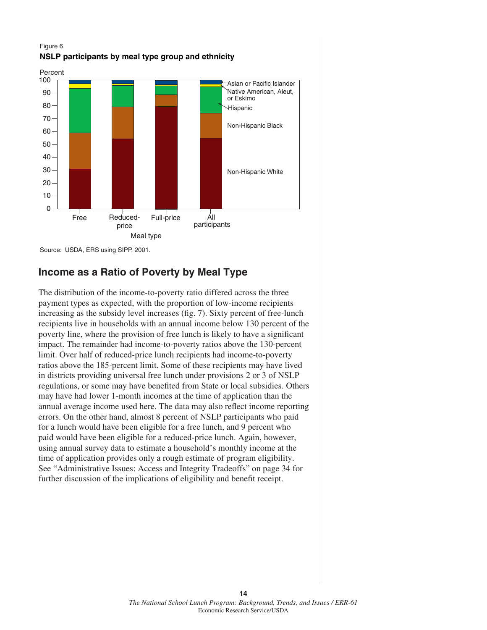#### Figure 6 **NSLP participants by meal type group and ethnicity**





## **Income as a Ratio of Poverty by Meal Type**

The distribution of the income-to-poverty ratio differed across the three payment types as expected, with the proportion of low-income recipients increasing as the subsidy level increases (fig. 7). Sixty percent of free-lunch recipients live in households with an annual income below 130 percent of the poverty line, where the provision of free lunch is likely to have a significant impact. The remainder had income-to-poverty ratios above the 130-percent limit. Over half of reduced-price lunch recipients had income-to-poverty ratios above the 185-percent limit. Some of these recipients may have lived in districts providing universal free lunch under provisions 2 or 3 of NSLP regulations, or some may have benefited from State or local subsidies. Others may have had lower 1-month incomes at the time of application than the annual average income used here. The data may also reflect income reporting errors. On the other hand, almost 8 percent of NSLP participants who paid for a lunch would have been eligible for a free lunch, and 9 percent who paid would have been eligible for a reduced-price lunch. Again, however, using annual survey data to estimate a household's monthly income at the time of application provides only a rough estimate of program eligibility. See "Administrative Issues: Access and Integrity Tradeoffs" on page 34 for further discussion of the implications of eligibility and benefit receipt.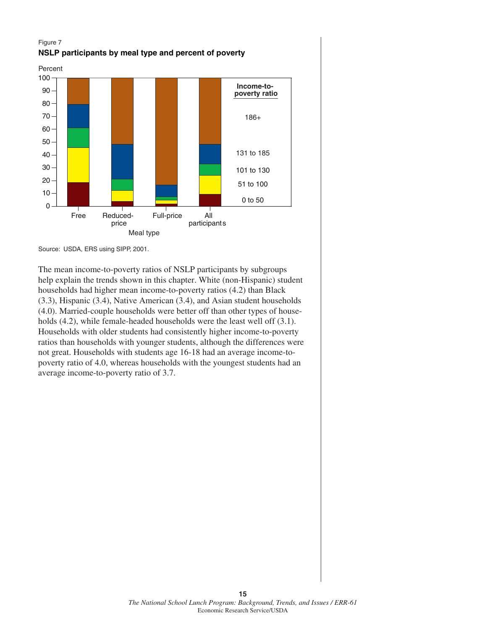



Source: USDA, ERS using SIPP, 2001.

The mean income-to-poverty ratios of NSLP participants by subgroups help explain the trends shown in this chapter. White (non-Hispanic) student households had higher mean income-to-poverty ratios (4.2) than Black (3.3), Hispanic (3.4), Native American (3.4), and Asian student households (4.0). Married-couple households were better off than other types of households (4.2), while female-headed households were the least well off (3.1). Households with older students had consistently higher income-to-poverty ratios than households with younger students, although the differences were not great. Households with students age 16-18 had an average income-topoverty ratio of 4.0, whereas households with the youngest students had an average income-to-poverty ratio of 3.7.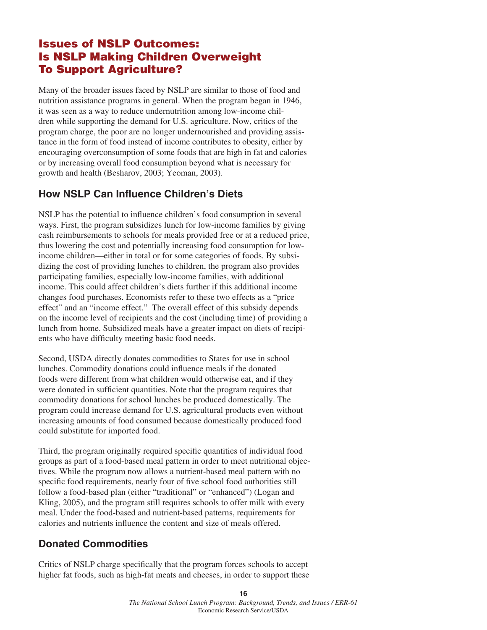## **Issues of NSLP Outcomes: Is NSLP Making Children Overweight To Support Agriculture?**

Many of the broader issues faced by NSLP are similar to those of food and nutrition assistance programs in general. When the program began in 1946, it was seen as a way to reduce undernutrition among low-income children while supporting the demand for U.S. agriculture. Now, critics of the program charge, the poor are no longer undernourished and providing assistance in the form of food instead of income contributes to obesity, either by encouraging overconsumption of some foods that are high in fat and calories or by increasing overall food consumption beyond what is necessary for growth and health (Besharov, 2003; Yeoman, 2003).

#### **How NSLP Can Influence Children's Diets**

NSLP has the potential to influence children's food consumption in several ways. First, the program subsidizes lunch for low-income families by giving cash reimbursements to schools for meals provided free or at a reduced price, thus lowering the cost and potentially increasing food consumption for lowincome children—either in total or for some categories of foods. By subsidizing the cost of providing lunches to children, the program also provides participating families, especially low-income families, with additional income. This could affect children's diets further if this additional income changes food purchases. Economists refer to these two effects as a "price effect" and an "income effect." The overall effect of this subsidy depends on the income level of recipients and the cost (including time) of providing a lunch from home. Subsidized meals have a greater impact on diets of recipients who have difficulty meeting basic food needs.

Second, USDA directly donates commodities to States for use in school lunches. Commodity donations could influence meals if the donated foods were different from what children would otherwise eat, and if they were donated in sufficient quantities. Note that the program requires that commodity donations for school lunches be produced domestically. The program could increase demand for U.S. agricultural products even without increasing amounts of food consumed because domestically produced food could substitute for imported food.

Third, the program originally required specific quantities of individual food groups as part of a food-based meal pattern in order to meet nutritional objectives. While the program now allows a nutrient-based meal pattern with no specific food requirements, nearly four of five school food authorities still follow a food-based plan (either "traditional" or "enhanced") (Logan and Kling, 2005), and the program still requires schools to offer milk with every meal. Under the food-based and nutrient-based patterns, requirements for calories and nutrients influence the content and size of meals offered.

#### **Donated Commodities**

Critics of NSLP charge specifically that the program forces schools to accept higher fat foods, such as high-fat meats and cheeses, in order to support these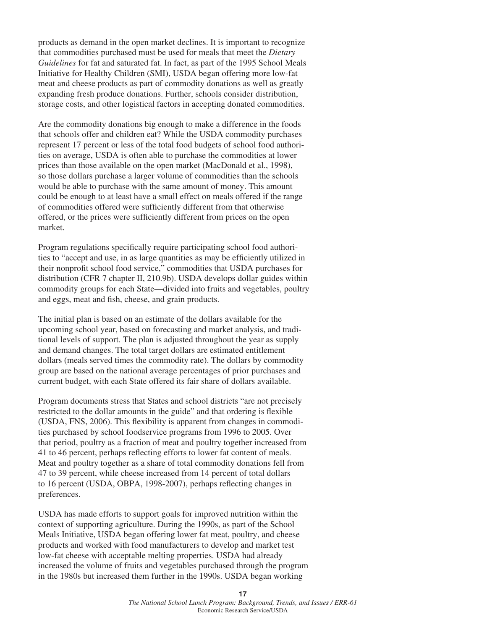products as demand in the open market declines. It is important to recognize that commodities purchased must be used for meals that meet the *Dietary Guidelines* for fat and saturated fat. In fact, as part of the 1995 School Meals Initiative for Healthy Children (SMI), USDA began offering more low-fat meat and cheese products as part of commodity donations as well as greatly expanding fresh produce donations. Further, schools consider distribution, storage costs, and other logistical factors in accepting donated commodities.

Are the commodity donations big enough to make a difference in the foods that schools offer and children eat? While the USDA commodity purchases represent 17 percent or less of the total food budgets of school food authorities on average, USDA is often able to purchase the commodities at lower prices than those available on the open market (MacDonald et al., 1998), so those dollars purchase a larger volume of commodities than the schools would be able to purchase with the same amount of money. This amount could be enough to at least have a small effect on meals offered if the range of commodities offered were sufficiently different from that otherwise offered, or the prices were sufficiently different from prices on the open market.

Program regulations specifically require participating school food authorities to "accept and use, in as large quantities as may be efficiently utilized in their nonprofit school food service," commodities that USDA purchases for distribution (CFR 7 chapter II, 210.9b). USDA develops dollar guides within commodity groups for each State—divided into fruits and vegetables, poultry and eggs, meat and fish, cheese, and grain products.

The initial plan is based on an estimate of the dollars available for the upcoming school year, based on forecasting and market analysis, and traditional levels of support. The plan is adjusted throughout the year as supply and demand changes. The total target dollars are estimated entitlement dollars (meals served times the commodity rate). The dollars by commodity group are based on the national average percentages of prior purchases and current budget, with each State offered its fair share of dollars available.

Program documents stress that States and school districts "are not precisely restricted to the dollar amounts in the guide" and that ordering is flexible (USDA, FNS, 2006). This flexibility is apparent from changes in commodities purchased by school foodservice programs from 1996 to 2005. Over that period, poultry as a fraction of meat and poultry together increased from 41 to 46 percent, perhaps reflecting efforts to lower fat content of meals. Meat and poultry together as a share of total commodity donations fell from 47 to 39 percent, while cheese increased from 14 percent of total dollars to 16 percent (USDA, OBPA, 1998-2007), perhaps reflecting changes in preferences.

USDA has made efforts to support goals for improved nutrition within the context of supporting agriculture. During the 1990s, as part of the School Meals Initiative, USDA began offering lower fat meat, poultry, and cheese products and worked with food manufacturers to develop and market test low-fat cheese with acceptable melting properties. USDA had already increased the volume of fruits and vegetables purchased through the program in the 1980s but increased them further in the 1990s. USDA began working

**17**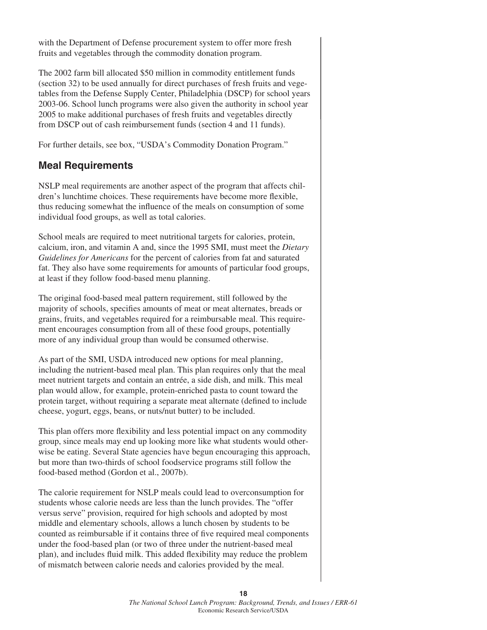with the Department of Defense procurement system to offer more fresh fruits and vegetables through the commodity donation program.

The 2002 farm bill allocated \$50 million in commodity entitlement funds (section 32) to be used annually for direct purchases of fresh fruits and vegetables from the Defense Supply Center, Philadelphia (DSCP) for school years 2003-06. School lunch programs were also given the authority in school year 2005 to make additional purchases of fresh fruits and vegetables directly from DSCP out of cash reimbursement funds (section 4 and 11 funds).

For further details, see box, "USDA's Commodity Donation Program."

#### **Meal Requirements**

NSLP meal requirements are another aspect of the program that affects children's lunchtime choices. These requirements have become more flexible, thus reducing somewhat the influence of the meals on consumption of some individual food groups, as well as total calories.

School meals are required to meet nutritional targets for calories, protein, calcium, iron, and vitamin A and, since the 1995 SMI, must meet the *Dietary Guidelines for Americans* for the percent of calories from fat and saturated fat. They also have some requirements for amounts of particular food groups, at least if they follow food-based menu planning.

The original food-based meal pattern requirement, still followed by the majority of schools, specifies amounts of meat or meat alternates, breads or grains, fruits, and vegetables required for a reimbursable meal. This requirement encourages consumption from all of these food groups, potentially more of any individual group than would be consumed otherwise.

As part of the SMI, USDA introduced new options for meal planning, including the nutrient-based meal plan. This plan requires only that the meal meet nutrient targets and contain an entrée, a side dish, and milk. This meal plan would allow, for example, protein-enriched pasta to count toward the protein target, without requiring a separate meat alternate (defined to include cheese, yogurt, eggs, beans, or nuts/nut butter) to be included.

This plan offers more flexibility and less potential impact on any commodity group, since meals may end up looking more like what students would otherwise be eating. Several State agencies have begun encouraging this approach, but more than two-thirds of school foodservice programs still follow the food-based method (Gordon et al., 2007b).

The calorie requirement for NSLP meals could lead to overconsumption for students whose calorie needs are less than the lunch provides. The "offer versus serve" provision, required for high schools and adopted by most middle and elementary schools, allows a lunch chosen by students to be counted as reimbursable if it contains three of five required meal components under the food-based plan (or two of three under the nutrient-based meal plan), and includes fluid milk. This added flexibility may reduce the problem of mismatch between calorie needs and calories provided by the meal.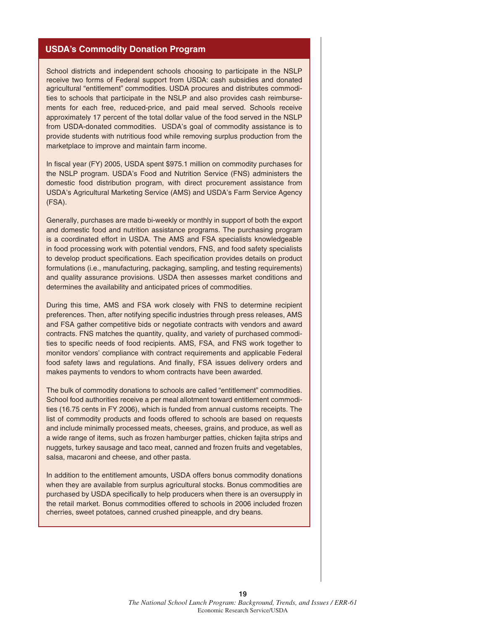#### **USDA's Commodity Donation Program**

School districts and independent schools choosing to participate in the NSLP receive two forms of Federal support from USDA: cash subsidies and donated agricultural "entitlement" commodities. USDA procures and distributes commodities to schools that participate in the NSLP and also provides cash reimbursements for each free, reduced-price, and paid meal served. Schools receive approximately 17 percent of the total dollar value of the food served in the NSLP from USDA-donated commodities. USDA's goal of commodity assistance is to provide students with nutritious food while removing surplus production from the marketplace to improve and maintain farm income.

In fiscal year (FY) 2005, USDA spent \$975.1 million on commodity purchases for the NSLP program. USDA's Food and Nutrition Service (FNS) administers the domestic food distribution program, with direct procurement assistance from USDA's Agricultural Marketing Service (AMS) and USDA's Farm Service Agency (FSA).

Generally, purchases are made bi-weekly or monthly in support of both the export and domestic food and nutrition assistance programs. The purchasing program is a coordinated effort in USDA. The AMS and FSA specialists knowledgeable in food processing work with potential vendors, FNS, and food safety specialists to develop product specifications. Each specification provides details on product formulations (i.e., manufacturing, packaging, sampling, and testing requirements) and quality assurance provisions. USDA then assesses market conditions and determines the availability and anticipated prices of commodities.

During this time, AMS and FSA work closely with FNS to determine recipient preferences. Then, after notifying specific industries through press releases, AMS and FSA gather competitive bids or negotiate contracts with vendors and award contracts. FNS matches the quantity, quality, and variety of purchased commodities to specific needs of food recipients. AMS, FSA, and FNS work together to monitor vendors' compliance with contract requirements and applicable Federal food safety laws and regulations. And finally, FSA issues delivery orders and makes payments to vendors to whom contracts have been awarded.

The bulk of commodity donations to schools are called "entitlement" commodities. School food authorities receive a per meal allotment toward entitlement commodities (16.75 cents in FY 2006), which is funded from annual customs receipts. The list of commodity products and foods offered to schools are based on requests and include minimally processed meats, cheeses, grains, and produce, as well as a wide range of items, such as frozen hamburger patties, chicken fajita strips and nuggets, turkey sausage and taco meat, canned and frozen fruits and vegetables, salsa, macaroni and cheese, and other pasta.

In addition to the entitlement amounts, USDA offers bonus commodity donations when they are available from surplus agricultural stocks. Bonus commodities are purchased by USDA specifically to help producers when there is an oversupply in the retail market. Bonus commodities offered to schools in 2006 included frozen cherries, sweet potatoes, canned crushed pineapple, and dry beans.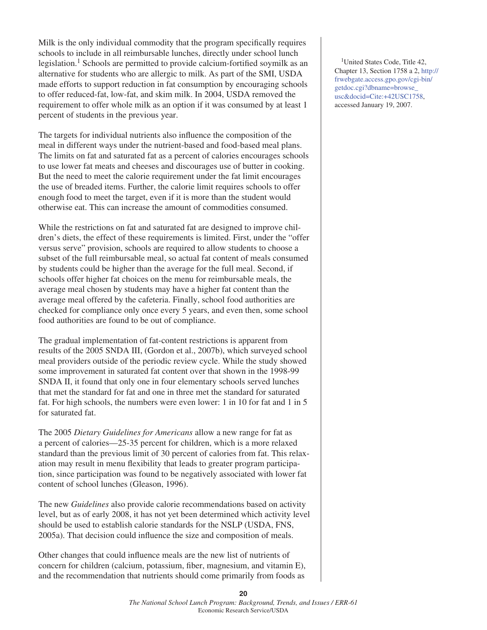Milk is the only individual commodity that the program specifically requires schools to include in all reimbursable lunches, directly under school lunch legislation.<sup>1</sup> Schools are permitted to provide calcium-fortified soymilk as an alternative for students who are allergic to milk. As part of the SMI, USDA made efforts to support reduction in fat consumption by encouraging schools to offer reduced-fat, low-fat, and skim milk. In 2004, USDA removed the requirement to offer whole milk as an option if it was consumed by at least 1 percent of students in the previous year.

The targets for individual nutrients also influence the composition of the meal in different ways under the nutrient-based and food-based meal plans. The limits on fat and saturated fat as a percent of calories encourages schools to use lower fat meats and cheeses and discourages use of butter in cooking. But the need to meet the calorie requirement under the fat limit encourages the use of breaded items. Further, the calorie limit requires schools to offer enough food to meet the target, even if it is more than the student would otherwise eat. This can increase the amount of commodities consumed.

While the restrictions on fat and saturated fat are designed to improve children's diets, the effect of these requirements is limited. First, under the "offer versus serve" provision, schools are required to allow students to choose a subset of the full reimbursable meal, so actual fat content of meals consumed by students could be higher than the average for the full meal. Second, if schools offer higher fat choices on the menu for reimbursable meals, the average meal chosen by students may have a higher fat content than the average meal offered by the cafeteria. Finally, school food authorities are checked for compliance only once every 5 years, and even then, some school food authorities are found to be out of compliance.

The gradual implementation of fat-content restrictions is apparent from results of the 2005 SNDA III, (Gordon et al., 2007b), which surveyed school meal providers outside of the periodic review cycle. While the study showed some improvement in saturated fat content over that shown in the 1998-99 SNDA II, it found that only one in four elementary schools served lunches that met the standard for fat and one in three met the standard for saturated fat. For high schools, the numbers were even lower: 1 in 10 for fat and 1 in 5 for saturated fat.

The 2005 *Dietary Guidelines for Americans* allow a new range for fat as a percent of calories—25-35 percent for children, which is a more relaxed standard than the previous limit of 30 percent of calories from fat. This relaxation may result in menu flexibility that leads to greater program participation, since participation was found to be negatively associated with lower fat content of school lunches (Gleason, 1996).

The new *Guidelines* also provide calorie recommendations based on activity level, but as of early 2008, it has not yet been determined which activity level should be used to establish calorie standards for the NSLP (USDA, FNS, 2005a). That decision could influence the size and composition of meals.

Other changes that could influence meals are the new list of nutrients of concern for children (calcium, potassium, fiber, magnesium, and vitamin E), and the recommendation that nutrients should come primarily from foods as

<sup>1</sup>United States Code, Title 42, Chapter 13, Section 1758 a 2, http:// frwebgate.access.gpo.gov/cgi-bin/ getdoc.cgi?dbname=browse\_ usc&docid=Cite:+42USC1758, accessed January 19, 2007.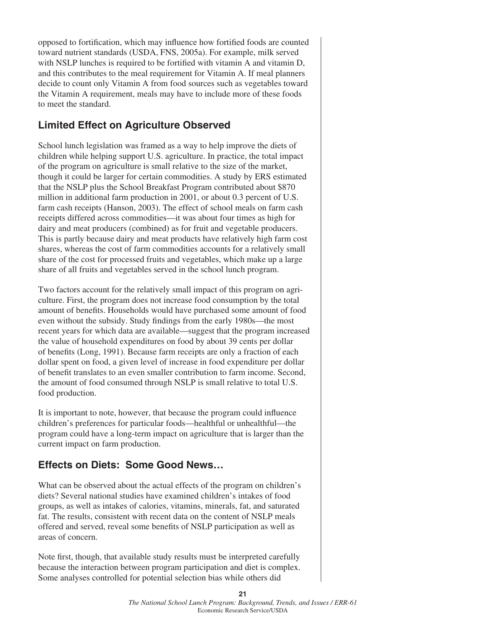opposed to fortification, which may influence how fortified foods are counted toward nutrient standards (USDA, FNS, 2005a). For example, milk served with NSLP lunches is required to be fortified with vitamin A and vitamin D, and this contributes to the meal requirement for Vitamin A. If meal planners decide to count only Vitamin A from food sources such as vegetables toward the Vitamin A requirement, meals may have to include more of these foods to meet the standard.

#### **Limited Effect on Agriculture Observed**

School lunch legislation was framed as a way to help improve the diets of children while helping support U.S. agriculture. In practice, the total impact of the program on agriculture is small relative to the size of the market, though it could be larger for certain commodities. A study by ERS estimated that the NSLP plus the School Breakfast Program contributed about \$870 million in additional farm production in 2001, or about 0.3 percent of U.S. farm cash receipts (Hanson, 2003). The effect of school meals on farm cash receipts differed across commodities—it was about four times as high for dairy and meat producers (combined) as for fruit and vegetable producers. This is partly because dairy and meat products have relatively high farm cost shares, whereas the cost of farm commodities accounts for a relatively small share of the cost for processed fruits and vegetables, which make up a large share of all fruits and vegetables served in the school lunch program.

Two factors account for the relatively small impact of this program on agriculture. First, the program does not increase food consumption by the total amount of benefits. Households would have purchased some amount of food even without the subsidy. Study findings from the early 1980s—the most recent years for which data are available—suggest that the program increased the value of household expenditures on food by about 39 cents per dollar of benefits (Long, 1991). Because farm receipts are only a fraction of each dollar spent on food, a given level of increase in food expenditure per dollar of benefit translates to an even smaller contribution to farm income. Second, the amount of food consumed through NSLP is small relative to total U.S. food production.

It is important to note, however, that because the program could influence children's preferences for particular foods—healthful or unhealthful—the program could have a long-term impact on agriculture that is larger than the current impact on farm production.

#### **Effects on Diets: Some Good News…**

What can be observed about the actual effects of the program on children's diets? Several national studies have examined children's intakes of food groups, as well as intakes of calories, vitamins, minerals, fat, and saturated fat. The results, consistent with recent data on the content of NSLP meals offered and served, reveal some benefits of NSLP participation as well as areas of concern.

Note first, though, that available study results must be interpreted carefully because the interaction between program participation and diet is complex. Some analyses controlled for potential selection bias while others did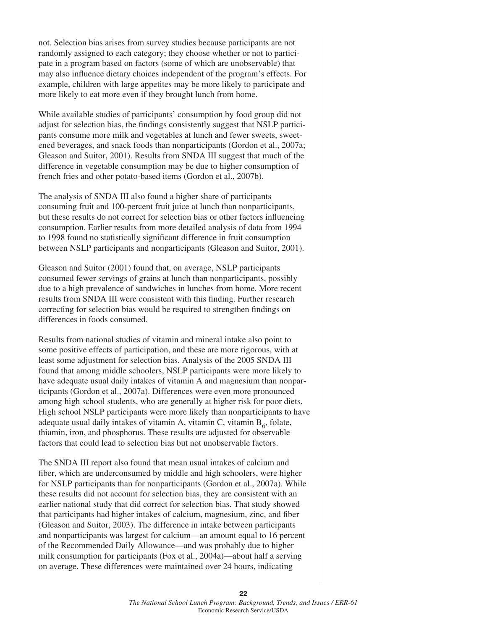not. Selection bias arises from survey studies because participants are not randomly assigned to each category; they choose whether or not to participate in a program based on factors (some of which are unobservable) that may also influence dietary choices independent of the program's effects. For example, children with large appetites may be more likely to participate and more likely to eat more even if they brought lunch from home.

While available studies of participants' consumption by food group did not adjust for selection bias, the findings consistently suggest that NSLP participants consume more milk and vegetables at lunch and fewer sweets, sweetened beverages, and snack foods than nonparticipants (Gordon et al., 2007a; Gleason and Suitor, 2001). Results from SNDA III suggest that much of the difference in vegetable consumption may be due to higher consumption of french fries and other potato-based items (Gordon et al., 2007b).

The analysis of SNDA III also found a higher share of participants consuming fruit and 100-percent fruit juice at lunch than nonparticipants, but these results do not correct for selection bias or other factors influencing consumption. Earlier results from more detailed analysis of data from 1994 to 1998 found no statistically significant difference in fruit consumption between NSLP participants and nonparticipants (Gleason and Suitor, 2001).

Gleason and Suitor (2001) found that, on average, NSLP participants consumed fewer servings of grains at lunch than nonparticipants, possibly due to a high prevalence of sandwiches in lunches from home. More recent results from SNDA III were consistent with this finding. Further research correcting for selection bias would be required to strengthen findings on differences in foods consumed.

Results from national studies of vitamin and mineral intake also point to some positive effects of participation, and these are more rigorous, with at least some adjustment for selection bias. Analysis of the 2005 SNDA III found that among middle schoolers, NSLP participants were more likely to have adequate usual daily intakes of vitamin A and magnesium than nonparticipants (Gordon et al., 2007a). Differences were even more pronounced among high school students, who are generally at higher risk for poor diets. High school NSLP participants were more likely than nonparticipants to have adequate usual daily intakes of vitamin A, vitamin C, vitamin  $B_6$ , folate, thiamin, iron, and phosphorus. These results are adjusted for observable factors that could lead to selection bias but not unobservable factors.

The SNDA III report also found that mean usual intakes of calcium and fiber, which are underconsumed by middle and high schoolers, were higher for NSLP participants than for nonparticipants (Gordon et al., 2007a). While these results did not account for selection bias, they are consistent with an earlier national study that did correct for selection bias. That study showed that participants had higher intakes of calcium, magnesium, zinc, and fiber (Gleason and Suitor, 2003). The difference in intake between participants and nonparticipants was largest for calcium—an amount equal to 16 percent of the Recommended Daily Allowance—and was probably due to higher milk consumption for participants (Fox et al., 2004a)—about half a serving on average. These differences were maintained over 24 hours, indicating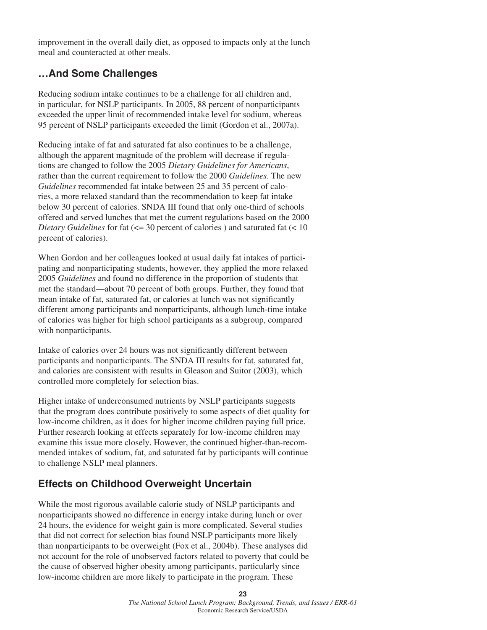improvement in the overall daily diet, as opposed to impacts only at the lunch meal and counteracted at other meals.

#### **…And Some Challenges**

Reducing sodium intake continues to be a challenge for all children and, in particular, for NSLP participants. In 2005, 88 percent of nonparticipants exceeded the upper limit of recommended intake level for sodium, whereas 95 percent of NSLP participants exceeded the limit (Gordon et al., 2007a).

Reducing intake of fat and saturated fat also continues to be a challenge, although the apparent magnitude of the problem will decrease if regulations are changed to follow the 2005 *Dietary Guidelines for Americans*, rather than the current requirement to follow the 2000 *Guidelines*. The new *Guidelines* recommended fat intake between 25 and 35 percent of calories, a more relaxed standard than the recommendation to keep fat intake below 30 percent of calories. SNDA III found that only one-third of schools offered and served lunches that met the current regulations based on the 2000 *Dietary Guidelines* for fat (<= 30 percent of calories) and saturated fat (< 10 percent of calories).

When Gordon and her colleagues looked at usual daily fat intakes of participating and nonparticipating students, however, they applied the more relaxed 2005 *Guidelines* and found no difference in the proportion of students that met the standard—about 70 percent of both groups. Further, they found that mean intake of fat, saturated fat, or calories at lunch was not significantly different among participants and nonparticipants, although lunch-time intake of calories was higher for high school participants as a subgroup, compared with nonparticipants.

Intake of calories over 24 hours was not significantly different between participants and nonparticipants. The SNDA III results for fat, saturated fat, and calories are consistent with results in Gleason and Suitor (2003), which controlled more completely for selection bias.

Higher intake of underconsumed nutrients by NSLP participants suggests that the program does contribute positively to some aspects of diet quality for low-income children, as it does for higher income children paying full price. Further research looking at effects separately for low-income children may examine this issue more closely. However, the continued higher-than-recommended intakes of sodium, fat, and saturated fat by participants will continue to challenge NSLP meal planners.

#### **Effects on Childhood Overweight Uncertain**

While the most rigorous available calorie study of NSLP participants and nonparticipants showed no difference in energy intake during lunch or over 24 hours, the evidence for weight gain is more complicated. Several studies that did not correct for selection bias found NSLP participants more likely than nonparticipants to be overweight (Fox et al., 2004b). These analyses did not account for the role of unobserved factors related to poverty that could be the cause of observed higher obesity among participants, particularly since low-income children are more likely to participate in the program. These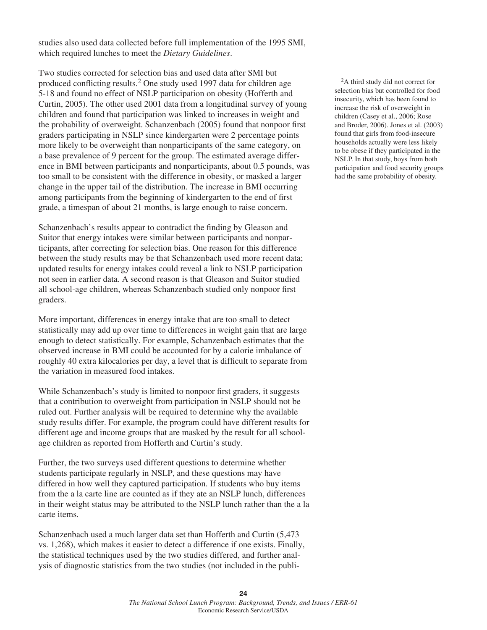studies also used data collected before full implementation of the 1995 SMI, which required lunches to meet the *Dietary Guidelines*.

Two studies corrected for selection bias and used data after SMI but produced conflicting results.<sup>2</sup> One study used 1997 data for children age 5-18 and found no effect of NSLP participation on obesity (Hofferth and Curtin, 2005). The other used 2001 data from a longitudinal survey of young children and found that participation was linked to increases in weight and the probability of overweight. Schanzenbach (2005) found that nonpoor first graders participating in NSLP since kindergarten were 2 percentage points more likely to be overweight than nonparticipants of the same category, on a base prevalence of 9 percent for the group. The estimated average difference in BMI between participants and nonparticipants, about 0.5 pounds, was too small to be consistent with the difference in obesity, or masked a larger change in the upper tail of the distribution. The increase in BMI occurring among participants from the beginning of kindergarten to the end of first grade, a timespan of about 21 months, is large enough to raise concern.

Schanzenbach's results appear to contradict the finding by Gleason and Suitor that energy intakes were similar between participants and nonparticipants, after correcting for selection bias. One reason for this difference between the study results may be that Schanzenbach used more recent data; updated results for energy intakes could reveal a link to NSLP participation not seen in earlier data. A second reason is that Gleason and Suitor studied all school-age children, whereas Schanzenbach studied only nonpoor first graders.

More important, differences in energy intake that are too small to detect statistically may add up over time to differences in weight gain that are large enough to detect statistically. For example, Schanzenbach estimates that the observed increase in BMI could be accounted for by a calorie imbalance of roughly 40 extra kilocalories per day, a level that is difficult to separate from the variation in measured food intakes.

While Schanzenbach's study is limited to nonpoor first graders, it suggests that a contribution to overweight from participation in NSLP should not be ruled out. Further analysis will be required to determine why the available study results differ. For example, the program could have different results for different age and income groups that are masked by the result for all schoolage children as reported from Hofferth and Curtin's study.

Further, the two surveys used different questions to determine whether students participate regularly in NSLP, and these questions may have differed in how well they captured participation. If students who buy items from the a la carte line are counted as if they ate an NSLP lunch, differences in their weight status may be attributed to the NSLP lunch rather than the a la carte items.

Schanzenbach used a much larger data set than Hofferth and Curtin (5,473 vs. 1,268), which makes it easier to detect a difference if one exists. Finally, the statistical techniques used by the two studies differed, and further analysis of diagnostic statistics from the two studies (not included in the publi-

 2A third study did not correct for selection bias but controlled for food insecurity, which has been found to increase the risk of overweight in children (Casey et al., 2006; Rose and Broder, 2006). Jones et al. (2003) found that girls from food-insecure households actually were less likely to be obese if they participated in the NSLP. In that study, boys from both participation and food security groups had the same probability of obesity.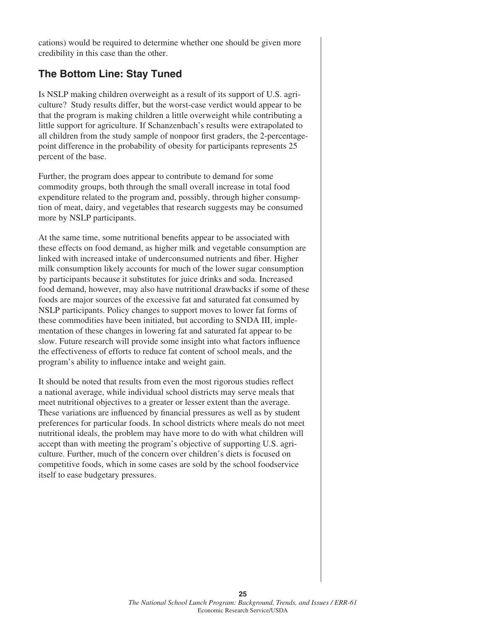cations) would be required to determine whether one should be given more credibility in this case than the other.

#### **The Bottom Line: Stay Tuned**

Is NSLP making children overweight as a result of its support of U.S. agriculture? Study results differ, but the worst-case verdict would appear to be that the program is making children a little overweight while contributing a little support for agriculture. If Schanzenbach's results were extrapolated to all children from the study sample of nonpoor first graders, the 2-percentagepoint difference in the probability of obesity for participants represents 25 percent of the base.

Further, the program does appear to contribute to demand for some commodity groups, both through the small overall increase in total food expenditure related to the program and, possibly, through higher consumption of meat, dairy, and vegetables that research suggests may be consumed more by NSLP participants.

At the same time, some nutritional benefits appear to be associated with these effects on food demand, as higher milk and vegetable consumption are linked with increased intake of underconsumed nutrients and fiber. Higher milk consumption likely accounts for much of the lower sugar consumption by participants because it substitutes for juice drinks and soda. Increased food demand, however, may also have nutritional drawbacks if some of these foods are major sources of the excessive fat and saturated fat consumed by NSLP participants. Policy changes to support moves to lower fat forms of these commodities have been initiated, but according to SNDA III, implementation of these changes in lowering fat and saturated fat appear to be slow. Future research will provide some insight into what factors influence the effectiveness of efforts to reduce fat content of school meals, and the program's ability to influence intake and weight gain.

It should be noted that results from even the most rigorous studies reflect a national average, while individual school districts may serve meals that meet nutritional objectives to a greater or lesser extent than the average. These variations are influenced by financial pressures as well as by student preferences for particular foods. In school districts where meals do not meet nutritional ideals, the problem may have more to do with what children will accept than with meeting the program's objective of supporting U.S. agriculture. Further, much of the concern over children's diets is focused on competitive foods, which in some cases are sold by the school foodservice itself to ease budgetary pressures.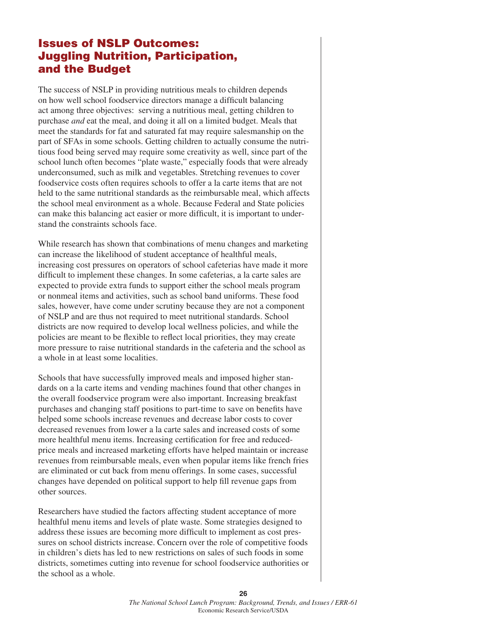#### **Issues of NSLP Outcomes: Juggling Nutrition, Participation, and the Budget**

The success of NSLP in providing nutritious meals to children depends on how well school foodservice directors manage a difficult balancing act among three objectives: serving a nutritious meal, getting children to purchase *and* eat the meal, and doing it all on a limited budget. Meals that meet the standards for fat and saturated fat may require salesmanship on the part of SFAs in some schools. Getting children to actually consume the nutritious food being served may require some creativity as well, since part of the school lunch often becomes "plate waste," especially foods that were already underconsumed, such as milk and vegetables. Stretching revenues to cover foodservice costs often requires schools to offer a la carte items that are not held to the same nutritional standards as the reimbursable meal, which affects the school meal environment as a whole. Because Federal and State policies can make this balancing act easier or more difficult, it is important to understand the constraints schools face.

While research has shown that combinations of menu changes and marketing can increase the likelihood of student acceptance of healthful meals, increasing cost pressures on operators of school cafeterias have made it more difficult to implement these changes. In some cafeterias, a la carte sales are expected to provide extra funds to support either the school meals program or nonmeal items and activities, such as school band uniforms. These food sales, however, have come under scrutiny because they are not a component of NSLP and are thus not required to meet nutritional standards. School districts are now required to develop local wellness policies, and while the policies are meant to be flexible to reflect local priorities, they may create more pressure to raise nutritional standards in the cafeteria and the school as a whole in at least some localities.

Schools that have successfully improved meals and imposed higher standards on a la carte items and vending machines found that other changes in the overall foodservice program were also important. Increasing breakfast purchases and changing staff positions to part-time to save on benefits have helped some schools increase revenues and decrease labor costs to cover decreased revenues from lower a la carte sales and increased costs of some more healthful menu items. Increasing certification for free and reducedprice meals and increased marketing efforts have helped maintain or increase revenues from reimbursable meals, even when popular items like french fries are eliminated or cut back from menu offerings. In some cases, successful changes have depended on political support to help fill revenue gaps from other sources.

Researchers have studied the factors affecting student acceptance of more healthful menu items and levels of plate waste. Some strategies designed to address these issues are becoming more difficult to implement as cost pressures on school districts increase. Concern over the role of competitive foods in children's diets has led to new restrictions on sales of such foods in some districts, sometimes cutting into revenue for school foodservice authorities or the school as a whole.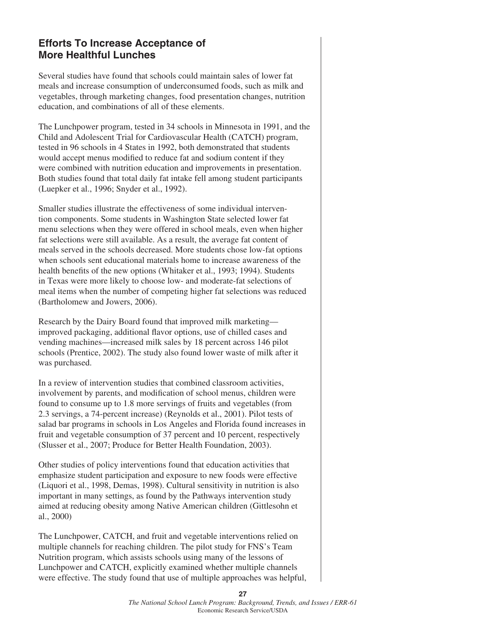#### **Efforts To Increase Acceptance of More Healthful Lunches**

Several studies have found that schools could maintain sales of lower fat meals and increase consumption of underconsumed foods, such as milk and vegetables, through marketing changes, food presentation changes, nutrition education, and combinations of all of these elements.

The Lunchpower program, tested in 34 schools in Minnesota in 1991, and the Child and Adolescent Trial for Cardiovascular Health (CATCH) program, tested in 96 schools in 4 States in 1992, both demonstrated that students would accept menus modified to reduce fat and sodium content if they were combined with nutrition education and improvements in presentation. Both studies found that total daily fat intake fell among student participants (Luepker et al., 1996; Snyder et al., 1992).

Smaller studies illustrate the effectiveness of some individual intervention components. Some students in Washington State selected lower fat menu selections when they were offered in school meals, even when higher fat selections were still available. As a result, the average fat content of meals served in the schools decreased. More students chose low-fat options when schools sent educational materials home to increase awareness of the health benefits of the new options (Whitaker et al., 1993; 1994). Students in Texas were more likely to choose low- and moderate-fat selections of meal items when the number of competing higher fat selections was reduced (Bartholomew and Jowers, 2006).

Research by the Dairy Board found that improved milk marketing improved packaging, additional flavor options, use of chilled cases and vending machines—increased milk sales by 18 percent across 146 pilot schools (Prentice, 2002). The study also found lower waste of milk after it was purchased.

In a review of intervention studies that combined classroom activities, involvement by parents, and modification of school menus, children were found to consume up to 1.8 more servings of fruits and vegetables (from 2.3 servings, a 74-percent increase) (Reynolds et al., 2001). Pilot tests of salad bar programs in schools in Los Angeles and Florida found increases in fruit and vegetable consumption of 37 percent and 10 percent, respectively (Slusser et al., 2007; Produce for Better Health Foundation, 2003).

Other studies of policy interventions found that education activities that emphasize student participation and exposure to new foods were effective (Liquori et al., 1998, Demas, 1998). Cultural sensitivity in nutrition is also important in many settings, as found by the Pathways intervention study aimed at reducing obesity among Native American children (Gittlesohn et al., 2000)

The Lunchpower, CATCH, and fruit and vegetable interventions relied on multiple channels for reaching children. The pilot study for FNS's Team Nutrition program, which assists schools using many of the lessons of Lunchpower and CATCH, explicitly examined whether multiple channels were effective. The study found that use of multiple approaches was helpful,

**27**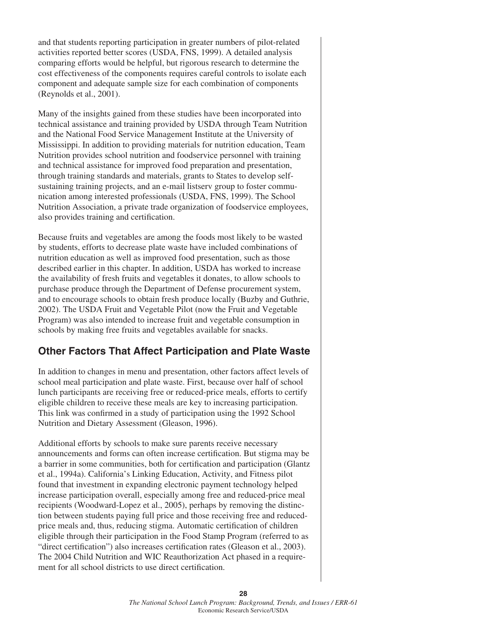and that students reporting participation in greater numbers of pilot-related activities reported better scores (USDA, FNS, 1999). A detailed analysis comparing efforts would be helpful, but rigorous research to determine the cost effectiveness of the components requires careful controls to isolate each component and adequate sample size for each combination of components (Reynolds et al., 2001).

Many of the insights gained from these studies have been incorporated into technical assistance and training provided by USDA through Team Nutrition and the National Food Service Management Institute at the University of Mississippi. In addition to providing materials for nutrition education, Team Nutrition provides school nutrition and foodservice personnel with training and technical assistance for improved food preparation and presentation, through training standards and materials, grants to States to develop selfsustaining training projects, and an e-mail listserv group to foster communication among interested professionals (USDA, FNS, 1999). The School Nutrition Association, a private trade organization of foodservice employees, also provides training and certification.

Because fruits and vegetables are among the foods most likely to be wasted by students, efforts to decrease plate waste have included combinations of nutrition education as well as improved food presentation, such as those described earlier in this chapter. In addition, USDA has worked to increase the availability of fresh fruits and vegetables it donates, to allow schools to purchase produce through the Department of Defense procurement system, and to encourage schools to obtain fresh produce locally (Buzby and Guthrie, 2002). The USDA Fruit and Vegetable Pilot (now the Fruit and Vegetable Program) was also intended to increase fruit and vegetable consumption in schools by making free fruits and vegetables available for snacks.

#### **Other Factors That Affect Participation and Plate Waste**

In addition to changes in menu and presentation, other factors affect levels of school meal participation and plate waste. First, because over half of school lunch participants are receiving free or reduced-price meals, efforts to certify eligible children to receive these meals are key to increasing participation. This link was confirmed in a study of participation using the 1992 School Nutrition and Dietary Assessment (Gleason, 1996).

Additional efforts by schools to make sure parents receive necessary announcements and forms can often increase certification. But stigma may be a barrier in some communities, both for certification and participation (Glantz et al., 1994a). California's Linking Education, Activity, and Fitness pilot found that investment in expanding electronic payment technology helped increase participation overall, especially among free and reduced-price meal recipients (Woodward-Lopez et al., 2005), perhaps by removing the distinction between students paying full price and those receiving free and reducedprice meals and, thus, reducing stigma. Automatic certification of children eligible through their participation in the Food Stamp Program (referred to as "direct certification") also increases certification rates (Gleason et al., 2003). The 2004 Child Nutrition and WIC Reauthorization Act phased in a requirement for all school districts to use direct certification.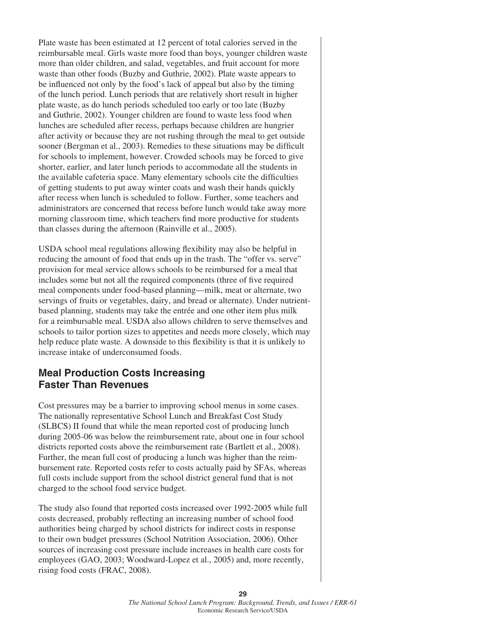Plate waste has been estimated at 12 percent of total calories served in the reimbursable meal. Girls waste more food than boys, younger children waste more than older children, and salad, vegetables, and fruit account for more waste than other foods (Buzby and Guthrie, 2002). Plate waste appears to be influenced not only by the food's lack of appeal but also by the timing of the lunch period. Lunch periods that are relatively short result in higher plate waste, as do lunch periods scheduled too early or too late (Buzby and Guthrie, 2002). Younger children are found to waste less food when lunches are scheduled after recess, perhaps because children are hungrier after activity or because they are not rushing through the meal to get outside sooner (Bergman et al., 2003). Remedies to these situations may be difficult for schools to implement, however. Crowded schools may be forced to give shorter, earlier, and later lunch periods to accommodate all the students in the available cafeteria space. Many elementary schools cite the difficulties of getting students to put away winter coats and wash their hands quickly after recess when lunch is scheduled to follow. Further, some teachers and administrators are concerned that recess before lunch would take away more morning classroom time, which teachers find more productive for students than classes during the afternoon (Rainville et al., 2005).

USDA school meal regulations allowing flexibility may also be helpful in reducing the amount of food that ends up in the trash. The "offer vs. serve" provision for meal service allows schools to be reimbursed for a meal that includes some but not all the required components (three of five required meal components under food-based planning—milk, meat or alternate, two servings of fruits or vegetables, dairy, and bread or alternate). Under nutrientbased planning, students may take the entrée and one other item plus milk for a reimbursable meal. USDA also allows children to serve themselves and schools to tailor portion sizes to appetites and needs more closely, which may help reduce plate waste. A downside to this flexibility is that it is unlikely to increase intake of underconsumed foods.

#### **Meal Production Costs Increasing Faster Than Revenues**

Cost pressures may be a barrier to improving school menus in some cases. The nationally representative School Lunch and Breakfast Cost Study (SLBCS) II found that while the mean reported cost of producing lunch during 2005-06 was below the reimbursement rate, about one in four school districts reported costs above the reimbursement rate (Bartlett et al., 2008). Further, the mean full cost of producing a lunch was higher than the reimbursement rate. Reported costs refer to costs actually paid by SFAs, whereas full costs include support from the school district general fund that is not charged to the school food service budget.

The study also found that reported costs increased over 1992-2005 while full costs decreased, probably reflecting an increasing number of school food authorities being charged by school districts for indirect costs in response to their own budget pressures (School Nutrition Association, 2006). Other sources of increasing cost pressure include increases in health care costs for employees (GAO, 2003; Woodward-Lopez et al., 2005) and, more recently, rising food costs (FRAC, 2008).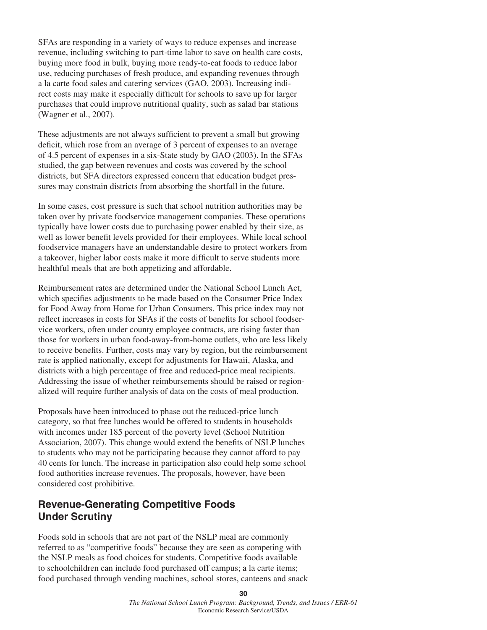SFAs are responding in a variety of ways to reduce expenses and increase revenue, including switching to part-time labor to save on health care costs, buying more food in bulk, buying more ready-to-eat foods to reduce labor use, reducing purchases of fresh produce, and expanding revenues through a la carte food sales and catering services (GAO, 2003). Increasing indirect costs may make it especially difficult for schools to save up for larger purchases that could improve nutritional quality, such as salad bar stations (Wagner et al., 2007).

These adjustments are not always sufficient to prevent a small but growing deficit, which rose from an average of 3 percent of expenses to an average of 4.5 percent of expenses in a six-State study by GAO (2003). In the SFAs studied, the gap between revenues and costs was covered by the school districts, but SFA directors expressed concern that education budget pressures may constrain districts from absorbing the shortfall in the future.

In some cases, cost pressure is such that school nutrition authorities may be taken over by private foodservice management companies. These operations typically have lower costs due to purchasing power enabled by their size, as well as lower benefit levels provided for their employees. While local school foodservice managers have an understandable desire to protect workers from a takeover, higher labor costs make it more difficult to serve students more healthful meals that are both appetizing and affordable.

Reimbursement rates are determined under the National School Lunch Act, which specifies adjustments to be made based on the Consumer Price Index for Food Away from Home for Urban Consumers. This price index may not reflect increases in costs for SFAs if the costs of benefits for school foodservice workers, often under county employee contracts, are rising faster than those for workers in urban food-away-from-home outlets, who are less likely to receive benefits. Further, costs may vary by region, but the reimbursement rate is applied nationally, except for adjustments for Hawaii, Alaska, and districts with a high percentage of free and reduced-price meal recipients. Addressing the issue of whether reimbursements should be raised or regionalized will require further analysis of data on the costs of meal production.

Proposals have been introduced to phase out the reduced-price lunch category, so that free lunches would be offered to students in households with incomes under 185 percent of the poverty level (School Nutrition Association, 2007). This change would extend the benefits of NSLP lunches to students who may not be participating because they cannot afford to pay 40 cents for lunch. The increase in participation also could help some school food authorities increase revenues. The proposals, however, have been considered cost prohibitive.

#### **Revenue-Generating Competitive Foods Under Scrutiny**

Foods sold in schools that are not part of the NSLP meal are commonly referred to as "competitive foods" because they are seen as competing with the NSLP meals as food choices for students. Competitive foods available to schoolchildren can include food purchased off campus; a la carte items; food purchased through vending machines, school stores, canteens and snack

**30**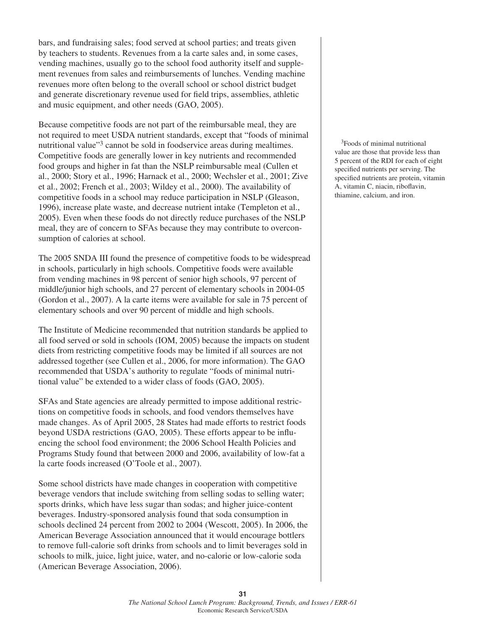bars, and fundraising sales; food served at school parties; and treats given by teachers to students. Revenues from a la carte sales and, in some cases, vending machines, usually go to the school food authority itself and supplement revenues from sales and reimbursements of lunches. Vending machine revenues more often belong to the overall school or school district budget and generate discretionary revenue used for field trips, assemblies, athletic and music equipment, and other needs (GAO, 2005).

Because competitive foods are not part of the reimbursable meal, they are not required to meet USDA nutrient standards, except that "foods of minimal nutritional value<sup> $3$ </sup> cannot be sold in foodservice areas during mealtimes. Competitive foods are generally lower in key nutrients and recommended food groups and higher in fat than the NSLP reimbursable meal (Cullen et al., 2000; Story et al., 1996; Harnack et al., 2000; Wechsler et al., 2001; Zive et al., 2002; French et al., 2003; Wildey et al., 2000). The availability of competitive foods in a school may reduce participation in NSLP (Gleason, 1996), increase plate waste, and decrease nutrient intake (Templeton et al., 2005). Even when these foods do not directly reduce purchases of the NSLP meal, they are of concern to SFAs because they may contribute to overconsumption of calories at school.

The 2005 SNDA III found the presence of competitive foods to be widespread in schools, particularly in high schools. Competitive foods were available from vending machines in 98 percent of senior high schools, 97 percent of middle/junior high schools, and 27 percent of elementary schools in 2004-05 (Gordon et al., 2007). A la carte items were available for sale in 75 percent of elementary schools and over 90 percent of middle and high schools.

The Institute of Medicine recommended that nutrition standards be applied to all food served or sold in schools (IOM, 2005) because the impacts on student diets from restricting competitive foods may be limited if all sources are not addressed together (see Cullen et al., 2006, for more information). The GAO recommended that USDA's authority to regulate "foods of minimal nutritional value" be extended to a wider class of foods (GAO, 2005).

SFAs and State agencies are already permitted to impose additional restrictions on competitive foods in schools, and food vendors themselves have made changes. As of April 2005, 28 States had made efforts to restrict foods beyond USDA restrictions (GAO, 2005). These efforts appear to be influencing the school food environment; the 2006 School Health Policies and Programs Study found that between 2000 and 2006, availability of low-fat a la carte foods increased (O'Toole et al., 2007).

Some school districts have made changes in cooperation with competitive beverage vendors that include switching from selling sodas to selling water; sports drinks, which have less sugar than sodas; and higher juice-content beverages. Industry-sponsored analysis found that soda consumption in schools declined 24 percent from 2002 to 2004 (Wescott, 2005). In 2006, the American Beverage Association announced that it would encourage bottlers to remove full-calorie soft drinks from schools and to limit beverages sold in schools to milk, juice, light juice, water, and no-calorie or low-calorie soda (American Beverage Association, 2006).

3Foods of minimal nutritional value are those that provide less than 5 percent of the RDI for each of eight specified nutrients per serving. The specified nutrients are protein, vitamin A, vitamin C, niacin, riboflavin, thiamine, calcium, and iron.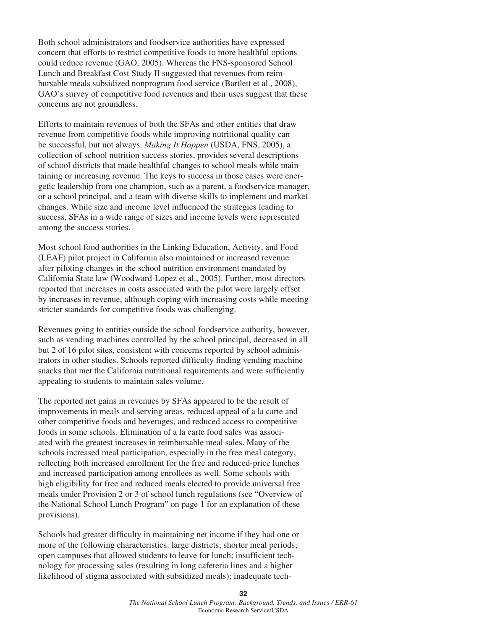Both school administrators and foodservice authorities have expressed concern that efforts to restrict competitive foods to more healthful options could reduce revenue (GAO, 2005). Whereas the FNS-sponsored School Lunch and Breakfast Cost Study II suggested that revenues from reimbursable meals subsidized nonprogram food service (Bartlett et al., 2008), GAO's survey of competitive food revenues and their uses suggest that these concerns are not groundless.

Efforts to maintain revenues of both the SFAs and other entities that draw revenue from competitive foods while improving nutritional quality can be successful, but not always. *Making It Happen* (USDA, FNS, 2005), a collection of school nutrition success stories, provides several descriptions of school districts that made healthful changes to school meals while maintaining or increasing revenue. The keys to success in those cases were energetic leadership from one champion, such as a parent, a foodservice manager, or a school principal, and a team with diverse skills to implement and market changes. While size and income level influenced the strategies leading to success, SFAs in a wide range of sizes and income levels were represented among the success stories.

Most school food authorities in the Linking Education, Activity, and Food (LEAF) pilot project in California also maintained or increased revenue after piloting changes in the school nutrition environment mandated by California State law (Woodward-Lopez et al., 2005). Further, most directors reported that increases in costs associated with the pilot were largely offset by increases in revenue, although coping with increasing costs while meeting stricter standards for competitive foods was challenging.

Revenues going to entities outside the school foodservice authority, however, such as vending machines controlled by the school principal, decreased in all but 2 of 16 pilot sites, consistent with concerns reported by school administrators in other studies. Schools reported difficulty finding vending machine snacks that met the California nutritional requirements and were sufficiently appealing to students to maintain sales volume.

The reported net gains in revenues by SFAs appeared to be the result of improvements in meals and serving areas, reduced appeal of a la carte and other competitive foods and beverages, and reduced access to competitive foods in some schools. Elimination of a la carte food sales was associated with the greatest increases in reimbursable meal sales. Many of the schools increased meal participation, especially in the free meal category, reflecting both increased enrollment for the free and reduced-price lunches and increased participation among enrollees as well. Some schools with high eligibility for free and reduced meals elected to provide universal free meals under Provision 2 or 3 of school lunch regulations (see "Overview of the National School Lunch Program" on page 1 for an explanation of these provisions).

Schools had greater difficulty in maintaining net income if they had one or more of the following characteristics: large districts; shorter meal periods; open campuses that allowed students to leave for lunch; insufficient technology for processing sales (resulting in long cafeteria lines and a higher likelihood of stigma associated with subsidized meals); inadequate tech-

**32**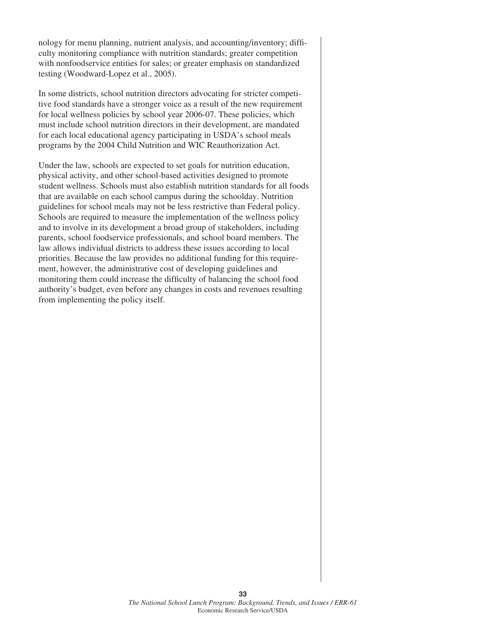nology for menu planning, nutrient analysis, and accounting/inventory; diffi culty monitoring compliance with nutrition standards; greater competition with nonfoodservice entities for sales; or greater emphasis on standardized testing (Woodward-Lopez et al., 2005).

In some districts, school nutrition directors advocating for stricter competitive food standards have a stronger voice as a result of the new requirement for local wellness policies by school year 2006-07. These policies, which must include school nutrition directors in their development, are mandated for each local educational agency participating in USDA's school meals programs by the 2004 Child Nutrition and WIC Reauthorization Act.

Under the law, schools are expected to set goals for nutrition education, physical activity, and other school-based activities designed to promote student wellness. Schools must also establish nutrition standards for all foods that are available on each school campus during the schoolday. Nutrition guidelines for school meals may not be less restrictive than Federal policy. Schools are required to measure the implementation of the wellness policy and to involve in its development a broad group of stakeholders, including parents, school foodservice professionals, and school board members. The law allows individual districts to address these issues according to local priorities. Because the law provides no additional funding for this requirement, however, the administrative cost of developing guidelines and monitoring them could increase the difficulty of balancing the school food authority's budget, even before any changes in costs and revenues resulting from implementing the policy itself.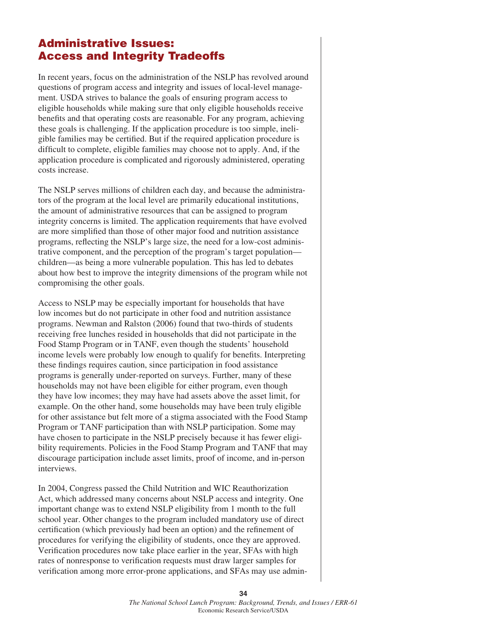#### **Administrative Issues: Access and Integrity Tradeoffs**

In recent years, focus on the administration of the NSLP has revolved around questions of program access and integrity and issues of local-level management. USDA strives to balance the goals of ensuring program access to eligible households while making sure that only eligible households receive benefits and that operating costs are reasonable. For any program, achieving these goals is challenging. If the application procedure is too simple, ineligible families may be certified. But if the required application procedure is difficult to complete, eligible families may choose not to apply. And, if the application procedure is complicated and rigorously administered, operating costs increase.

The NSLP serves millions of children each day, and because the administrators of the program at the local level are primarily educational institutions, the amount of administrative resources that can be assigned to program integrity concerns is limited. The application requirements that have evolved are more simplified than those of other major food and nutrition assistance programs, reflecting the NSLP's large size, the need for a low-cost administrative component, and the perception of the program's target population children—as being a more vulnerable population. This has led to debates about how best to improve the integrity dimensions of the program while not compromising the other goals.

Access to NSLP may be especially important for households that have low incomes but do not participate in other food and nutrition assistance programs. Newman and Ralston (2006) found that two-thirds of students receiving free lunches resided in households that did not participate in the Food Stamp Program or in TANF, even though the students' household income levels were probably low enough to qualify for benefits. Interpreting these findings requires caution, since participation in food assistance programs is generally under-reported on surveys. Further, many of these households may not have been eligible for either program, even though they have low incomes; they may have had assets above the asset limit, for example. On the other hand, some households may have been truly eligible for other assistance but felt more of a stigma associated with the Food Stamp Program or TANF participation than with NSLP participation. Some may have chosen to participate in the NSLP precisely because it has fewer eligibility requirements. Policies in the Food Stamp Program and TANF that may discourage participation include asset limits, proof of income, and in-person interviews.

In 2004, Congress passed the Child Nutrition and WIC Reauthorization Act, which addressed many concerns about NSLP access and integrity. One important change was to extend NSLP eligibility from 1 month to the full school year. Other changes to the program included mandatory use of direct certification (which previously had been an option) and the refinement of procedures for verifying the eligibility of students, once they are approved. Verification procedures now take place earlier in the year, SFAs with high rates of nonresponse to verification requests must draw larger samples for verification among more error-prone applications, and SFAs may use admin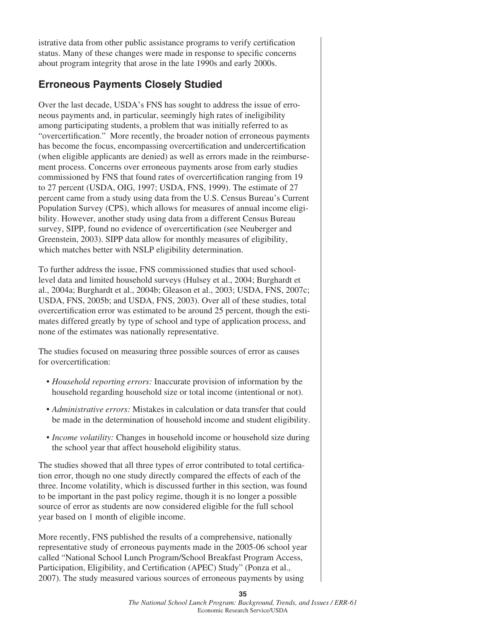istrative data from other public assistance programs to verify certification status. Many of these changes were made in response to specific concerns about program integrity that arose in the late 1990s and early 2000s.

#### **Erroneous Payments Closely Studied**

Over the last decade, USDA's FNS has sought to address the issue of erroneous payments and, in particular, seemingly high rates of ineligibility among participating students, a problem that was initially referred to as "overcertification." More recently, the broader notion of erroneous payments has become the focus, encompassing overcertification and undercertification (when eligible applicants are denied) as well as errors made in the reimbursement process. Concerns over erroneous payments arose from early studies commissioned by FNS that found rates of overcertification ranging from 19 to 27 percent (USDA, OIG, 1997; USDA, FNS, 1999). The estimate of 27 percent came from a study using data from the U.S. Census Bureau's Current Population Survey (CPS), which allows for measures of annual income eligibility. However, another study using data from a different Census Bureau survey, SIPP, found no evidence of overcertification (see Neuberger and Greenstein, 2003). SIPP data allow for monthly measures of eligibility, which matches better with NSLP eligibility determination.

To further address the issue, FNS commissioned studies that used schoollevel data and limited household surveys (Hulsey et al., 2004; Burghardt et al., 2004a; Burghardt et al., 2004b; Gleason et al., 2003; USDA, FNS, 2007c; USDA, FNS, 2005b; and USDA, FNS, 2003). Over all of these studies, total overcertification error was estimated to be around 25 percent, though the estimates differed greatly by type of school and type of application process, and none of the estimates was nationally representative.

The studies focused on measuring three possible sources of error as causes for overcertification:

- *Household reporting errors:* Inaccurate provision of information by the household regarding household size or total income (intentional or not).
- *Administrative errors:* Mistakes in calculation or data transfer that could be made in the determination of household income and student eligibility.
- *Income volatility:* Changes in household income or household size during the school year that affect household eligibility status.

The studies showed that all three types of error contributed to total certification error, though no one study directly compared the effects of each of the three. Income volatility, which is discussed further in this section, was found to be important in the past policy regime, though it is no longer a possible source of error as students are now considered eligible for the full school year based on 1 month of eligible income.

More recently, FNS published the results of a comprehensive, nationally representative study of erroneous payments made in the 2005-06 school year called "National School Lunch Program/School Breakfast Program Access, Participation, Eligibility, and Certification (APEC) Study" (Ponza et al., 2007). The study measured various sources of erroneous payments by using

**35**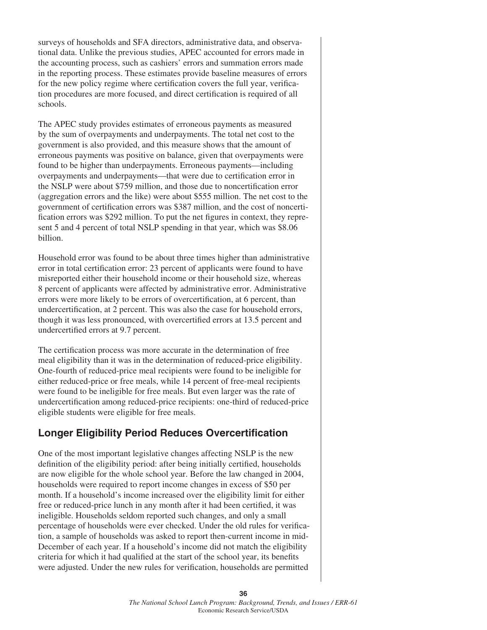surveys of households and SFA directors, administrative data, and observational data. Unlike the previous studies, APEC accounted for errors made in the accounting process, such as cashiers' errors and summation errors made in the reporting process. These estimates provide baseline measures of errors for the new policy regime where certification covers the full year, verification procedures are more focused, and direct certification is required of all schools.

The APEC study provides estimates of erroneous payments as measured by the sum of overpayments and underpayments. The total net cost to the government is also provided, and this measure shows that the amount of erroneous payments was positive on balance, given that overpayments were found to be higher than underpayments. Erroneous payments—including overpayments and underpayments—that were due to certification error in the NSLP were about \$759 million, and those due to noncertification error (aggregation errors and the like) were about \$555 million. The net cost to the government of certification errors was \$387 million, and the cost of noncertification errors was \$292 million. To put the net figures in context, they represent 5 and 4 percent of total NSLP spending in that year, which was \$8.06 billion.

Household error was found to be about three times higher than administrative error in total certification error: 23 percent of applicants were found to have misreported either their household income or their household size, whereas 8 percent of applicants were affected by administrative error. Administrative errors were more likely to be errors of overcertification, at 6 percent, than undercertification, at 2 percent. This was also the case for household errors, though it was less pronounced, with overcertified errors at 13.5 percent and undercertified errors at 9.7 percent.

The certification process was more accurate in the determination of free meal eligibility than it was in the determination of reduced-price eligibility. One-fourth of reduced-price meal recipients were found to be ineligible for either reduced-price or free meals, while 14 percent of free-meal recipients were found to be ineligible for free meals. But even larger was the rate of undercertification among reduced-price recipients: one-third of reduced-price eligible students were eligible for free meals.

#### **Longer Eligibility Period Reduces Overcertification**

One of the most important legislative changes affecting NSLP is the new definition of the eligibility period: after being initially certified, households are now eligible for the whole school year. Before the law changed in 2004, households were required to report income changes in excess of \$50 per month. If a household's income increased over the eligibility limit for either free or reduced-price lunch in any month after it had been certified, it was ineligible. Households seldom reported such changes, and only a small percentage of households were ever checked. Under the old rules for verification, a sample of households was asked to report then-current income in mid-December of each year. If a household's income did not match the eligibility criteria for which it had qualified at the start of the school year, its benefits were adjusted. Under the new rules for verification, households are permitted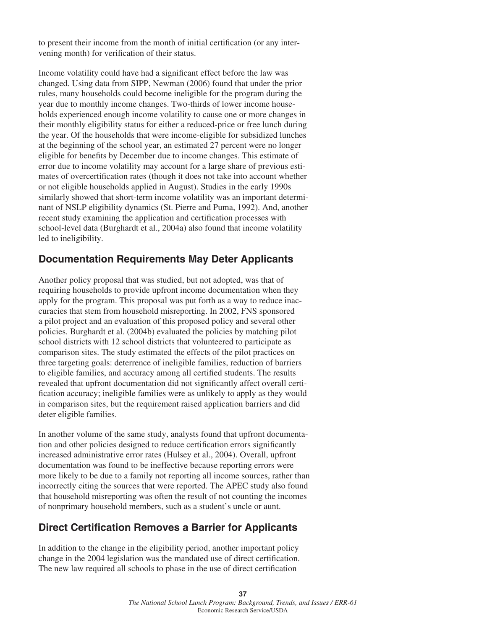to present their income from the month of initial certification (or any intervening month) for verification of their status.

Income volatility could have had a significant effect before the law was changed. Using data from SIPP, Newman (2006) found that under the prior rules, many households could become ineligible for the program during the year due to monthly income changes. Two-thirds of lower income households experienced enough income volatility to cause one or more changes in their monthly eligibility status for either a reduced-price or free lunch during the year. Of the households that were income-eligible for subsidized lunches at the beginning of the school year, an estimated 27 percent were no longer eligible for benefits by December due to income changes. This estimate of error due to income volatility may account for a large share of previous estimates of overcertification rates (though it does not take into account whether or not eligible households applied in August). Studies in the early 1990s similarly showed that short-term income volatility was an important determinant of NSLP eligibility dynamics (St. Pierre and Puma, 1992). And, another recent study examining the application and certification processes with school-level data (Burghardt et al., 2004a) also found that income volatility led to ineligibility.

#### **Documentation Requirements May Deter Applicants**

Another policy proposal that was studied, but not adopted, was that of requiring households to provide upfront income documentation when they apply for the program. This proposal was put forth as a way to reduce inaccuracies that stem from household misreporting. In 2002, FNS sponsored a pilot project and an evaluation of this proposed policy and several other policies. Burghardt et al. (2004b) evaluated the policies by matching pilot school districts with 12 school districts that volunteered to participate as comparison sites. The study estimated the effects of the pilot practices on three targeting goals: deterrence of ineligible families, reduction of barriers to eligible families, and accuracy among all certified students. The results revealed that upfront documentation did not significantly affect overall certification accuracy; ineligible families were as unlikely to apply as they would in comparison sites, but the requirement raised application barriers and did deter eligible families.

In another volume of the same study, analysts found that upfront documentation and other policies designed to reduce certification errors significantly increased administrative error rates (Hulsey et al., 2004). Overall, upfront documentation was found to be ineffective because reporting errors were more likely to be due to a family not reporting all income sources, rather than incorrectly citing the sources that were reported. The APEC study also found that household misreporting was often the result of not counting the incomes of nonprimary household members, such as a student's uncle or aunt.

#### **Direct Certification Removes a Barrier for Applicants**

In addition to the change in the eligibility period, another important policy change in the 2004 legislation was the mandated use of direct certification. The new law required all schools to phase in the use of direct certification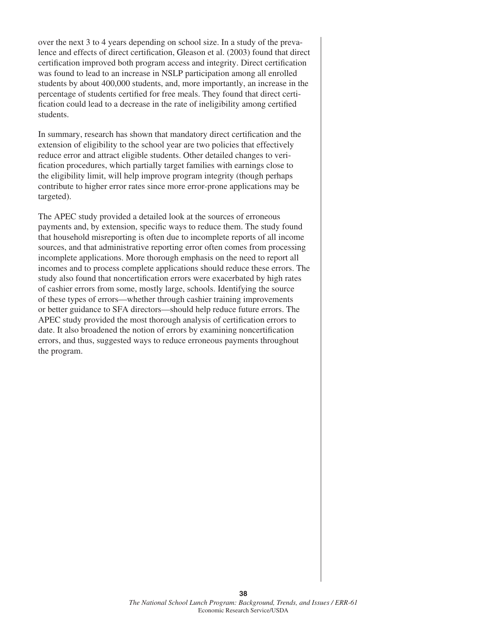over the next 3 to 4 years depending on school size. In a study of the prevalence and effects of direct certification, Gleason et al. (2003) found that direct certification improved both program access and integrity. Direct certification was found to lead to an increase in NSLP participation among all enrolled students by about 400,000 students, and, more importantly, an increase in the percentage of students certified for free meals. They found that direct certification could lead to a decrease in the rate of ineligibility among certified students.

In summary, research has shown that mandatory direct certification and the extension of eligibility to the school year are two policies that effectively reduce error and attract eligible students. Other detailed changes to verification procedures, which partially target families with earnings close to the eligibility limit, will help improve program integrity (though perhaps contribute to higher error rates since more error-prone applications may be targeted).

The APEC study provided a detailed look at the sources of erroneous payments and, by extension, specific ways to reduce them. The study found that household misreporting is often due to incomplete reports of all income sources, and that administrative reporting error often comes from processing incomplete applications. More thorough emphasis on the need to report all incomes and to process complete applications should reduce these errors. The study also found that noncertification errors were exacerbated by high rates of cashier errors from some, mostly large, schools. Identifying the source of these types of errors—whether through cashier training improvements or better guidance to SFA directors—should help reduce future errors. The APEC study provided the most thorough analysis of certification errors to date. It also broadened the notion of errors by examining noncertification errors, and thus, suggested ways to reduce erroneous payments throughout the program.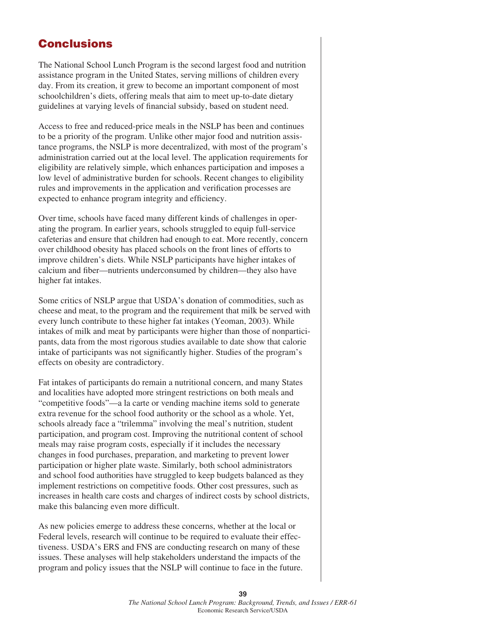## **Conclusions**

The National School Lunch Program is the second largest food and nutrition assistance program in the United States, serving millions of children every day. From its creation, it grew to become an important component of most schoolchildren's diets, offering meals that aim to meet up-to-date dietary guidelines at varying levels of financial subsidy, based on student need.

Access to free and reduced-price meals in the NSLP has been and continues to be a priority of the program. Unlike other major food and nutrition assistance programs, the NSLP is more decentralized, with most of the program's administration carried out at the local level. The application requirements for eligibility are relatively simple, which enhances participation and imposes a low level of administrative burden for schools. Recent changes to eligibility rules and improvements in the application and verification processes are expected to enhance program integrity and efficiency.

Over time, schools have faced many different kinds of challenges in operating the program. In earlier years, schools struggled to equip full-service cafeterias and ensure that children had enough to eat. More recently, concern over childhood obesity has placed schools on the front lines of efforts to improve children's diets. While NSLP participants have higher intakes of calcium and fiber—nutrients underconsumed by children—they also have higher fat intakes.

Some critics of NSLP argue that USDA's donation of commodities, such as cheese and meat, to the program and the requirement that milk be served with every lunch contribute to these higher fat intakes (Yeoman, 2003). While intakes of milk and meat by participants were higher than those of nonparticipants, data from the most rigorous studies available to date show that calorie intake of participants was not significantly higher. Studies of the program's effects on obesity are contradictory.

Fat intakes of participants do remain a nutritional concern, and many States and localities have adopted more stringent restrictions on both meals and "competitive foods"—a la carte or vending machine items sold to generate extra revenue for the school food authority or the school as a whole. Yet, schools already face a "trilemma" involving the meal's nutrition, student participation, and program cost. Improving the nutritional content of school meals may raise program costs, especially if it includes the necessary changes in food purchases, preparation, and marketing to prevent lower participation or higher plate waste. Similarly, both school administrators and school food authorities have struggled to keep budgets balanced as they implement restrictions on competitive foods. Other cost pressures, such as increases in health care costs and charges of indirect costs by school districts, make this balancing even more difficult.

As new policies emerge to address these concerns, whether at the local or Federal levels, research will continue to be required to evaluate their effectiveness. USDA's ERS and FNS are conducting research on many of these issues. These analyses will help stakeholders understand the impacts of the program and policy issues that the NSLP will continue to face in the future.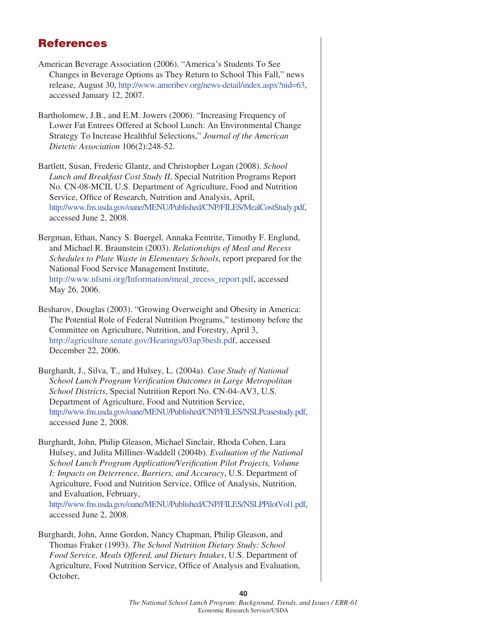#### **References**

- American Beverage Association (2006). "America's Students To See Changes in Beverage Options as They Return to School This Fall," news release, August 30, http://www.ameribev.org/news-detail/index.aspx?nid=63, accessed January 12, 2007.
- Bartholomew, J.B., and E.M. Jowers (2006). "Increasing Frequency of Lower Fat Entrees Offered at School Lunch: An Environmental Change Strategy To Increase Healthful Selections," *Journal of the American Dietetic Association* 106(2):248-52.
- Bartlett, Susan, Frederic Glantz, and Christopher Logan (2008). *School Lunch and Breakfast Cost Study II*, Special Nutrition Programs Report No. CN-08-MCII, U.S. Department of Agriculture, Food and Nutrition Service, Office of Research, Nutrition and Analysis, April, http://www.fns.usda.gov/oane/MENU/Published/CNP/FILES/MealCostStudy.pdf, accessed June 2, 2008.

Bergman, Ethan, Nancy S. Buergel, Annaka Femrite, Timothy F. Englund, and Michael R. Braunstein (2003). *Relationships of Meal and Recess Schedules to Plate Waste in Elementary Schools*, report prepared for the National Food Service Management Institute, http://www.nfsmi.org/Information/meal\_recess\_report.pdf, accessed May 26, 2006.

- Besharov, Douglas (2003). "Growing Overweight and Obesity in America: The Potential Role of Federal Nutrition Programs," testimony before the Committee on Agriculture, Nutrition, and Forestry, April 3, http://agriculture.senate.gov/Hearings/03ap3besh.pdf, accessed December 22, 2006.
- Burghardt, J., Silva, T., and Hulsey, L. (2004a). *Case Study of National*  **School Lunch Program Verification Outcomes in Large Metropolitan** *School Districts*, Special Nutrition Report No. CN-04-AV3, U.S. Department of Agriculture, Food and Nutrition Service, http://www.fns.usda.gov/oane/MENU/Published/CNP/FILES/NSLPcasestudy.pdf, accessed June 2, 2008.
- Burghardt, John, Philip Gleason, Michael Sinclair, Rhoda Cohen, Lara Hulsey, and Julita Milliner-Waddell (2004b). *Evaluation of the National School Lunch Program Application/Verification Pilot Projects, Volume I: Impacts on Deterrence, Barriers, and Accuracy*, U.S. Department of Agriculture, Food and Nutrition Service, Office of Analysis, Nutrition, and Evaluation, February,

http://www.fns.usda.gov/oane/MENU/Published/CNP/FILES/NSLPPilotVol1.pdf, accessed June 2, 2008.

Burghardt, John, Anne Gordon, Nancy Chapman, Philip Gleason, and Thomas Fraker (1993). *The School Nutrition Dietary Study: School Food Service, Meals Offered, and Dietary Intakes*, U.S. Department of Agriculture, Food Nutrition Service, Office of Analysis and Evaluation, October,

**40**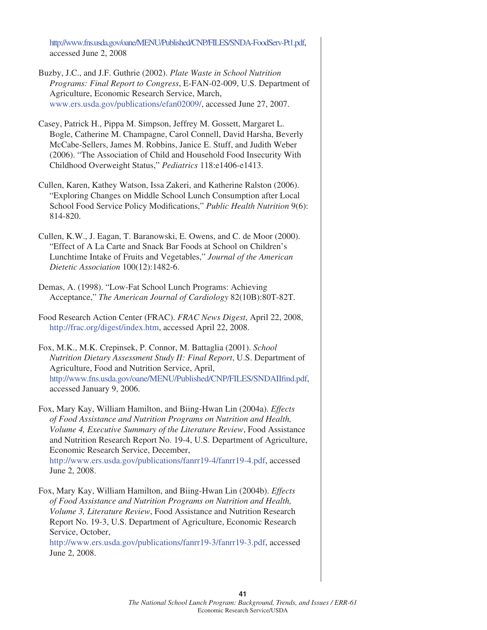http://www.fns.usda.gov/oane/MENU/Published/CNP/FILES/SNDA-FoodServ-Pt1.pdf, accessed June 2, 2008

- Buzby, J.C., and J.F. Guthrie (2002). *Plate Waste in School Nutrition Programs: Final Report to Congress*, E-FAN-02-009, U.S. Department of Agriculture, Economic Research Service, March, www.ers.usda.gov/publications/efan02009/, accessed June 27, 2007.
- Casey, Patrick H., Pippa M. Simpson, Jeffrey M. Gossett, Margaret L. Bogle, Catherine M. Champagne, Carol Connell, David Harsha, Beverly McCabe-Sellers, James M. Robbins, Janice E. Stuff, and Judith Weber (2006). "The Association of Child and Household Food Insecurity With Childhood Overweight Status," *Pediatrics* 118:e1406-e1413.
- Cullen, Karen, Kathey Watson, Issa Zakeri, and Katherine Ralston (2006). "Exploring Changes on Middle School Lunch Consumption after Local School Food Service Policy Modifications," *Public Health Nutrition* 9(6): 814-820.
- Cullen, K.W., J. Eagan, T. Baranowski, E. Owens, and C. de Moor (2000). "Effect of A La Carte and Snack Bar Foods at School on Children's Lunchtime Intake of Fruits and Vegetables," *Journal of the American Dietetic Association* 100(12):1482-6.
- Demas, A. (1998). "Low-Fat School Lunch Programs: Achieving Acceptance," *The American Journal of Cardiology* 82(10B):80T-82T.
- Food Research Action Center (FRAC). *FRAC News Digest*, April 22, 2008, http://frac.org/digest/index.htm, accessed April 22, 2008.
- Fox, M.K., M.K. Crepinsek, P. Connor, M. Battaglia (2001). *School Nutrition Dietary Assessment Study II: Final Report*, U.S. Department of Agriculture, Food and Nutrition Service, April, http://www.fns.usda.gov/oane/MENU/Published/CNP/FILES/SNDAIIfind.pdf, accessed January 9, 2006.

Fox, Mary Kay, William Hamilton, and Biing-Hwan Lin (2004a). *Effects of Food Assistance and Nutrition Programs on Nutrition and Health, Volume 4, Executive Summary of the Literature Review*, Food Assistance and Nutrition Research Report No. 19-4, U.S. Department of Agriculture, Economic Research Service, December,

http://www.ers.usda.gov/publications/fanrr19-4/fanrr19-4.pdf, accessed June 2, 2008.

Fox, Mary Kay, William Hamilton, and Biing-Hwan Lin (2004b). *Effects of Food Assistance and Nutrition Programs on Nutrition and Health, Volume 3, Literature Review*, Food Assistance and Nutrition Research Report No. 19-3, U.S. Department of Agriculture, Economic Research Service, October,

http://www.ers.usda.gov/publications/fanrr19-3/fanrr19-3.pdf, accessed June 2, 2008.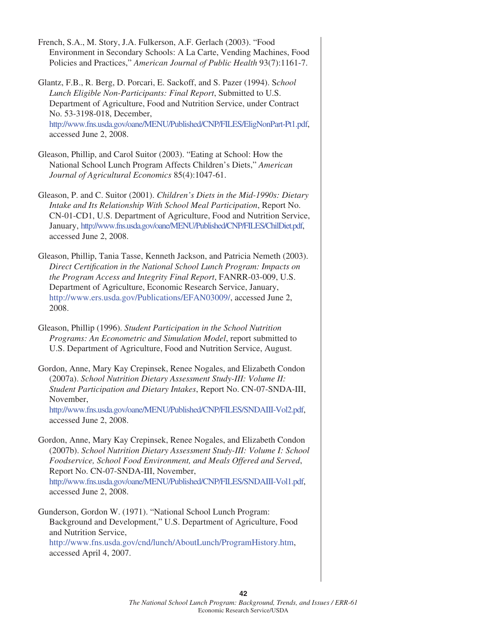French, S.A., M. Story, J.A. Fulkerson, A.F. Gerlach (2003). "Food Environment in Secondary Schools: A La Carte, Vending Machines, Food Policies and Practices," *American Journal of Public Health* 93(7):1161-7. Glantz, F.B., R. Berg, D. Porcari, E. Sackoff, and S. Pazer (1994). S*chool Lunch Eligible Non-Participants: Final Report*, Submitted to U.S. Department of Agriculture, Food and Nutrition Service, under Contract No. 53-3198-018, December, http://www.fns.usda.gov/oane/MENU/Published/CNP/FILES/EligNonPart-Pt1.pdf, accessed June 2, 2008. Gleason, Phillip, and Carol Suitor (2003). "Eating at School: How the National School Lunch Program Affects Children's Diets," *American Journal of Agricultural Economics* 85(4):1047-61. Gleason, P. and C. Suitor (2001). *Children's Diets in the Mid-1990s: Dietary Intake and Its Relationship With School Meal Participation*, Report No. CN-01-CD1, U.S. Department of Agriculture, Food and Nutrition Service, January, http://www.fns.usda.gov/oane/MENU/Published/CNP/FILES/ChilDiet.pdf, accessed June 2, 2008. Gleason, Phillip, Tania Tasse, Kenneth Jackson, and Patricia Nemeth (2003). **Direct Certification in the National School Lunch Program: Impacts on** *the Program Access and Integrity Final Report*, FANRR-03-009, U.S. Department of Agriculture, Economic Research Service, January, http://www.ers.usda.gov/Publications/EFAN03009/, accessed June 2, 2008. Gleason, Phillip (1996). *Student Participation in the School Nutrition Programs: An Econometric and Simulation Model*, report submitted to U.S. Department of Agriculture, Food and Nutrition Service, August. Gordon, Anne, Mary Kay Crepinsek, Renee Nogales, and Elizabeth Condon

(2007a). *School Nutrition Dietary Assessment Study-III: Volume II: Student Participation and Dietary Intakes*, Report No. CN-07-SNDA-III, November, http://www.fns.usda.gov/oane/MENU/Published/CNP/FILES/SNDAIII-Vol2.pdf, accessed June 2, 2008.

Gordon, Anne, Mary Kay Crepinsek, Renee Nogales, and Elizabeth Condon (2007b). *School Nutrition Dietary Assessment Study-III: Volume I: School Foodservice, School Food Environment, and Meals Offered and Served*, Report No. CN-07-SNDA-III, November, http://www.fns.usda.gov/oane/MENU/Published/CNP/FILES/SNDAIII-Vol1.pdf, accessed June 2, 2008.

Gunderson, Gordon W. (1971). "National School Lunch Program: Background and Development," U.S. Department of Agriculture, Food and Nutrition Service, http://www.fns.usda.gov/cnd/lunch/AboutLunch/ProgramHistory.htm,

accessed April 4, 2007.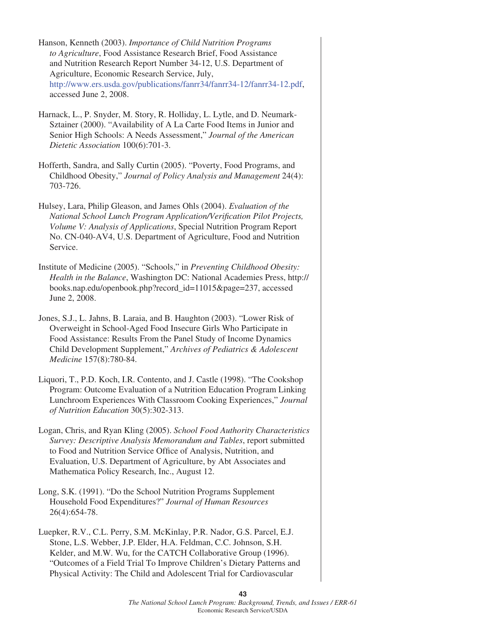Hanson, Kenneth (2003). *Importance of Child Nutrition Programs to Agriculture*, Food Assistance Research Brief, Food Assistance and Nutrition Research Report Number 34-12, U.S. Department of Agriculture, Economic Research Service, July, http://www.ers.usda.gov/publications/fanrr34/fanrr34-12/fanrr34-12.pdf, accessed June 2, 2008.

- Harnack, L., P. Snyder, M. Story, R. Holliday, L. Lytle, and D. Neumark-Sztainer (2000). "Availability of A La Carte Food Items in Junior and Senior High Schools: A Needs Assessment," *Journal of the American Dietetic Association* 100(6):701-3.
- Hofferth, Sandra, and Sally Curtin (2005). "Poverty, Food Programs, and Childhood Obesity," *Journal of Policy Analysis and Management* 24(4): 703-726.
- Hulsey, Lara, Philip Gleason, and James Ohls (2004). *Evaluation of the National School Lunch Program Application/Verification Pilot Projects, Volume V: Analysis of Applications*, Special Nutrition Program Report No. CN-040-AV4, U.S. Department of Agriculture, Food and Nutrition Service.
- Institute of Medicine (2005). "Schools," in *Preventing Childhood Obesity: Health in the Balance*, Washington DC: National Academies Press, http:// books.nap.edu/openbook.php?record\_id=11015&page=237, accessed June 2, 2008.
- Jones, S.J., L. Jahns, B. Laraia, and B. Haughton (2003). "Lower Risk of Overweight in School-Aged Food Insecure Girls Who Participate in Food Assistance: Results From the Panel Study of Income Dynamics Child Development Supplement," *Archives of Pediatrics & Adolescent Medicine* 157(8):780-84.
- Liquori, T., P.D. Koch, I.R. Contento, and J. Castle (1998). "The Cookshop Program: Outcome Evaluation of a Nutrition Education Program Linking Lunchroom Experiences With Classroom Cooking Experiences," *Journal of Nutrition Education* 30(5):302-313.
- Logan, Chris, and Ryan Kling (2005). *School Food Authority Characteristics Survey: Descriptive Analysis Memorandum and Tables*, report submitted to Food and Nutrition Service Office of Analysis, Nutrition, and Evaluation, U.S. Department of Agriculture, by Abt Associates and Mathematica Policy Research, Inc., August 12.
- Long, S.K. (1991). "Do the School Nutrition Programs Supplement Household Food Expenditures?" *Journal of Human Resources* 26(4):654-78.
- Luepker, R.V., C.L. Perry, S.M. McKinlay, P.R. Nador, G.S. Parcel, E.J. Stone, L.S. Webber, J.P. Elder, H.A. Feldman, C.C. Johnson, S.H. Kelder, and M.W. Wu, for the CATCH Collaborative Group (1996). "Outcomes of a Field Trial To Improve Children's Dietary Patterns and Physical Activity: The Child and Adolescent Trial for Cardiovascular

**43**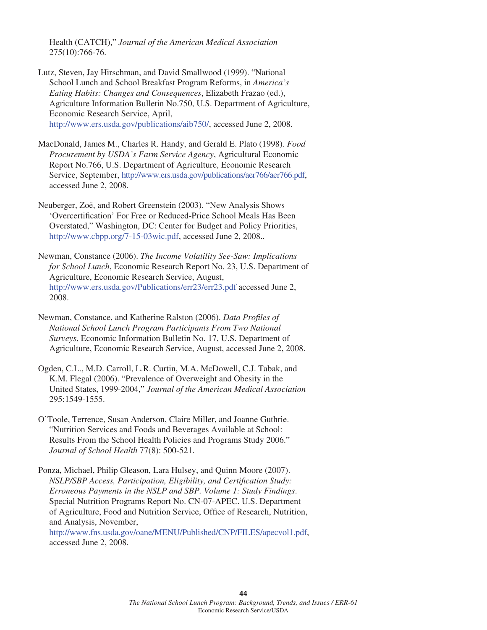Health (CATCH)," *Journal of the American Medical Association* 275(10):766-76.

- Lutz, Steven, Jay Hirschman, and David Smallwood (1999). "National School Lunch and School Breakfast Program Reforms, in *America's Eating Habits: Changes and Consequences*, Elizabeth Frazao (ed.), Agriculture Information Bulletin No.750, U.S. Department of Agriculture, Economic Research Service, April, http://www.ers.usda.gov/publications/aib750/, accessed June 2, 2008.
- MacDonald, James M., Charles R. Handy, and Gerald E. Plato (1998). *Food Procurement by USDA's Farm Service Agency*, Agricultural Economic Report No.766, U.S. Department of Agriculture, Economic Research Service, September, http://www.ers.usda.gov/publications/aer766/aer766.pdf, accessed June 2, 2008.
- Neuberger, Zoë, and Robert Greenstein (2003). "New Analysis Shows 'Overcertification' For Free or Reduced-Price School Meals Has Been Overstated," Washington, DC: Center for Budget and Policy Priorities, http://www.cbpp.org/7-15-03wic.pdf, accessed June 2, 2008..

Newman, Constance (2006). *The Income Volatility See-Saw: Implications for School Lunch*, Economic Research Report No. 23, U.S. Department of Agriculture, Economic Research Service, August, http://www.ers.usda.gov/Publications/err23/err23.pdf accessed June 2, 2008.

- Newman, Constance, and Katherine Ralston (2006). *Data Profiles of National School Lunch Program Participants From Two National Surveys*, Economic Information Bulletin No. 17, U.S. Department of Agriculture, Economic Research Service, August, accessed June 2, 2008.
- Ogden, C.L., M.D. Carroll, L.R. Curtin, M.A. McDowell, C.J. Tabak, and K.M. Flegal (2006). "Prevalence of Overweight and Obesity in the United States, 1999-2004," *Journal of the American Medical Association* 295:1549-1555.
- O'Toole, Terrence, Susan Anderson, Claire Miller, and Joanne Guthrie. "Nutrition Services and Foods and Beverages Available at School: Results From the School Health Policies and Programs Study 2006." *Journal of School Health* 77(8): 500-521.
- Ponza, Michael, Philip Gleason, Lara Hulsey, and Quinn Moore (2007). *NSLP/SBP Access, Participation, Eligibility, and Certification Study: Erroneous Payments in the NSLP and SBP. Volume 1: Study Findings*. Special Nutrition Programs Report No. CN-07-APEC. U.S. Department of Agriculture, Food and Nutrition Service, Office of Research, Nutrition, and Analysis, November,

http://www.fns.usda.gov/oane/MENU/Published/CNP/FILES/apecvol1.pdf, accessed June 2, 2008.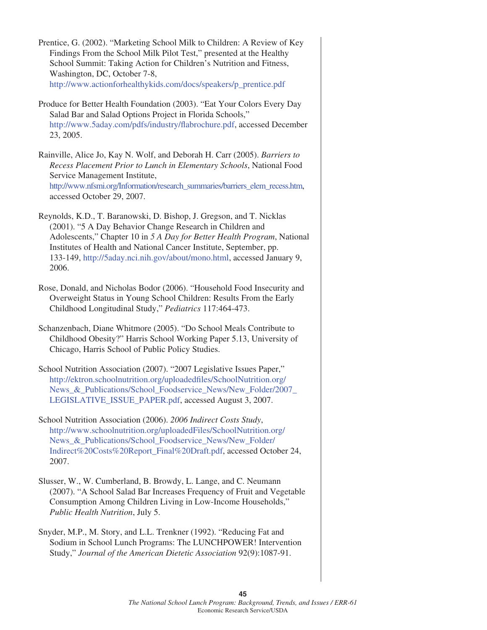Prentice, G. (2002). "Marketing School Milk to Children: A Review of Key Findings From the School Milk Pilot Test," presented at the Healthy School Summit: Taking Action for Children's Nutrition and Fitness, Washington, DC, October 7-8, http://www.actionforhealthykids.com/docs/speakers/p\_prentice.pdf

- Produce for Better Health Foundation (2003). "Eat Your Colors Every Day Salad Bar and Salad Options Project in Florida Schools," http://www.5aday.com/pdfs/industry/flabrochure.pdf, accessed December 23, 2005.
- Rainville, Alice Jo, Kay N. Wolf, and Deborah H. Carr (2005). *Barriers to Recess Placement Prior to Lunch in Elementary Schools*, National Food Service Management Institute, http://www.nfsmi.org/Information/research\_summaries/barriers\_elem\_recess.htm, accessed October 29, 2007.
- Reynolds, K.D., T. Baranowski, D. Bishop, J. Gregson, and T. Nicklas (2001). "5 A Day Behavior Change Research in Children and Adolescents," Chapter 10 in *5 A Day for Better Health Program*, National Institutes of Health and National Cancer Institute, September, pp. 133-149, http://5aday.nci.nih.gov/about/mono.html, accessed January 9, 2006.
- Rose, Donald, and Nicholas Bodor (2006). "Household Food Insecurity and Overweight Status in Young School Children: Results From the Early Childhood Longitudinal Study," *Pediatrics* 117:464-473.
- Schanzenbach, Diane Whitmore (2005). "Do School Meals Contribute to Childhood Obesity?" Harris School Working Paper 5.13, University of Chicago, Harris School of Public Policy Studies.
- School Nutrition Association (2007). "2007 Legislative Issues Paper," http://ektron.schoolnutrition.org/uploadedfiles/SchoolNutrition.org/ News\_&\_Publications/School\_Foodservice\_News/New\_Folder/2007\_ LEGISLATIVE\_ISSUE\_PAPER.pdf, accessed August 3, 2007.
- School Nutrition Association (2006). *2006 Indirect Costs Study*, http://www.schoolnutrition.org/uploadedFiles/SchoolNutrition.org/ News & Publications/School Foodservice News/New Folder/ Indirect%20Costs%20Report\_Final%20Draft.pdf, accessed October 24, 2007.
- Slusser, W., W. Cumberland, B. Browdy, L. Lange, and C. Neumann (2007). "A School Salad Bar Increases Frequency of Fruit and Vegetable Consumption Among Children Living in Low-Income Households," *Public Health Nutrition*, July 5.
- Snyder, M.P., M. Story, and L.L. Trenkner (1992). "Reducing Fat and Sodium in School Lunch Programs: The LUNCHPOWER! Intervention Study," *Journal of the American Dietetic Association* 92(9):1087-91.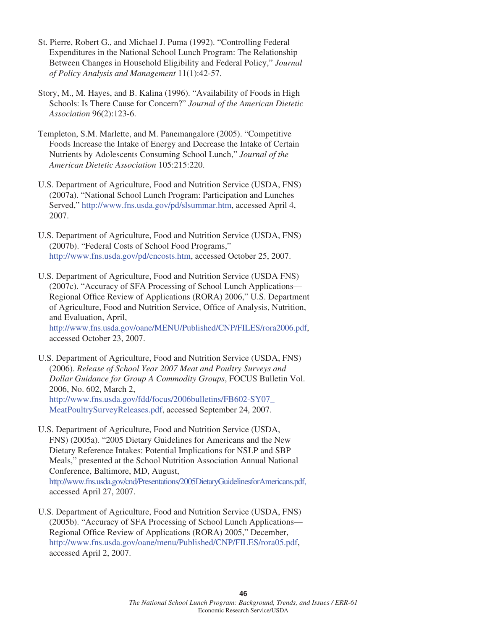- St. Pierre, Robert G., and Michael J. Puma (1992). "Controlling Federal Expenditures in the National School Lunch Program: The Relationship Between Changes in Household Eligibility and Federal Policy," *Journal of Policy Analysis and Management* 11(1):42-57.
- Story, M., M. Hayes, and B. Kalina (1996). "Availability of Foods in High Schools: Is There Cause for Concern?" *Journal of the American Dietetic Association* 96(2):123-6.
- Templeton, S.M. Marlette, and M. Panemangalore (2005). "Competitive Foods Increase the Intake of Energy and Decrease the Intake of Certain Nutrients by Adolescents Consuming School Lunch," *Journal of the American Dietetic Association* 105:215:220.
- U.S. Department of Agriculture, Food and Nutrition Service (USDA, FNS) (2007a). "National School Lunch Program: Participation and Lunches Served," http://www.fns.usda.gov/pd/slsummar.htm, accessed April 4, 2007.
- U.S. Department of Agriculture, Food and Nutrition Service (USDA, FNS) (2007b). "Federal Costs of School Food Programs," http://www.fns.usda.gov/pd/cncosts.htm, accessed October 25, 2007.
- U.S. Department of Agriculture, Food and Nutrition Service (USDA FNS) (2007c). "Accuracy of SFA Processing of School Lunch Applications— Regional Office Review of Applications (RORA) 2006," U.S. Department of Agriculture, Food and Nutrition Service, Office of Analysis, Nutrition, and Evaluation, April,

http://www.fns.usda.gov/oane/MENU/Published/CNP/FILES/rora2006.pdf, accessed October 23, 2007.

U.S. Department of Agriculture, Food and Nutrition Service (USDA, FNS) (2006). *Release of School Year 2007 Meat and Poultry Surveys and Dollar Guidance for Group A Commodity Groups*, FOCUS Bulletin Vol. 2006, No. 602, March 2, http://www.fns.usda.gov/fdd/focus/2006bulletins/FB602-SY07\_ MeatPoultrySurveyReleases.pdf, accessed September 24, 2007.

U.S. Department of Agriculture, Food and Nutrition Service (USDA, FNS) (2005a). "2005 Dietary Guidelines for Americans and the New Dietary Reference Intakes: Potential Implications for NSLP and SBP Meals," presented at the School Nutrition Association Annual National Conference, Baltimore, MD, August, http://www.fns.usda.gov/cnd/Presentations/2005DietaryGuidelinesforAmericans.pdf,

accessed April 27, 2007.

U.S. Department of Agriculture, Food and Nutrition Service (USDA, FNS) (2005b). "Accuracy of SFA Processing of School Lunch Applications— Regional Office Review of Applications (RORA) 2005," December, http://www.fns.usda.gov/oane/menu/Published/CNP/FILES/rora05.pdf, accessed April 2, 2007.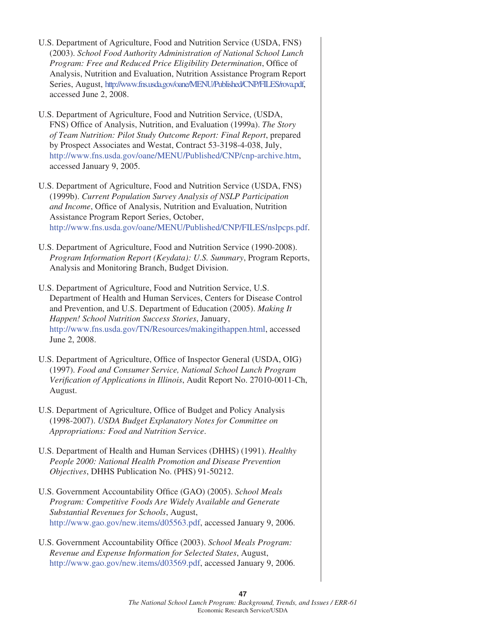- U.S. Department of Agriculture, Food and Nutrition Service (USDA, FNS) (2003). *School Food Authority Administration of National School Lunch Program: Free and Reduced Price Eligibility Determination, Office of* Analysis, Nutrition and Evaluation, Nutrition Assistance Program Report Series, August, http://www.fns.usda.gov/oane/MENU/Published/CNP/FILES/rova.pdf, accessed June 2, 2008.
- U.S. Department of Agriculture, Food and Nutrition Service, (USDA, FNS) Office of Analysis, Nutrition, and Evaluation (1999a). *The Story of Team Nutrition: Pilot Study Outcome Report: Final Report*, prepared by Prospect Associates and Westat, Contract 53-3198-4-038, July, http://www.fns.usda.gov/oane/MENU/Published/CNP/cnp-archive.htm, accessed January 9, 2005.
- U.S. Department of Agriculture, Food and Nutrition Service (USDA, FNS) (1999b). *Current Population Survey Analysis of NSLP Participation and Income*, Office of Analysis, Nutrition and Evaluation, Nutrition Assistance Program Report Series, October, http://www.fns.usda.gov/oane/MENU/Published/CNP/FILES/nslpcps.pdf.
- U.S. Department of Agriculture, Food and Nutrition Service (1990-2008). *Program Information Report (Keydata): U.S. Summary*, Program Reports, Analysis and Monitoring Branch, Budget Division.
- U.S. Department of Agriculture, Food and Nutrition Service, U.S. Department of Health and Human Services, Centers for Disease Control and Prevention, and U.S. Department of Education (2005). *Making It Happen! School Nutrition Success Stories*, January, http://www.fns.usda.gov/TN/Resources/makingithappen.html, accessed June 2, 2008.
- U.S. Department of Agriculture, Office of Inspector General (USDA, OIG) (1997). *Food and Consumer Service, National School Lunch Program Verifi cation of Applications in Illinois*, Audit Report No. 27010-0011-Ch, August.
- U.S. Department of Agriculture, Office of Budget and Policy Analysis (1998-2007). *USDA Budget Explanatory Notes for Committee on Appropriations: Food and Nutrition Service*.
- U.S. Department of Health and Human Services (DHHS) (1991). *Healthy People 2000: National Health Promotion and Disease Prevention Objectives*, DHHS Publication No. (PHS) 91-50212.
- U.S. Government Accountability Office (GAO) (2005). *School Meals Program: Competitive Foods Are Widely Available and Generate Substantial Revenues for Schools*, August, http://www.gao.gov/new.items/d05563.pdf, accessed January 9, 2006.
- U.S. Government Accountability Office (2003). *School Meals Program: Revenue and Expense Information for Selected States*, August, http://www.gao.gov/new.items/d03569.pdf, accessed January 9, 2006.